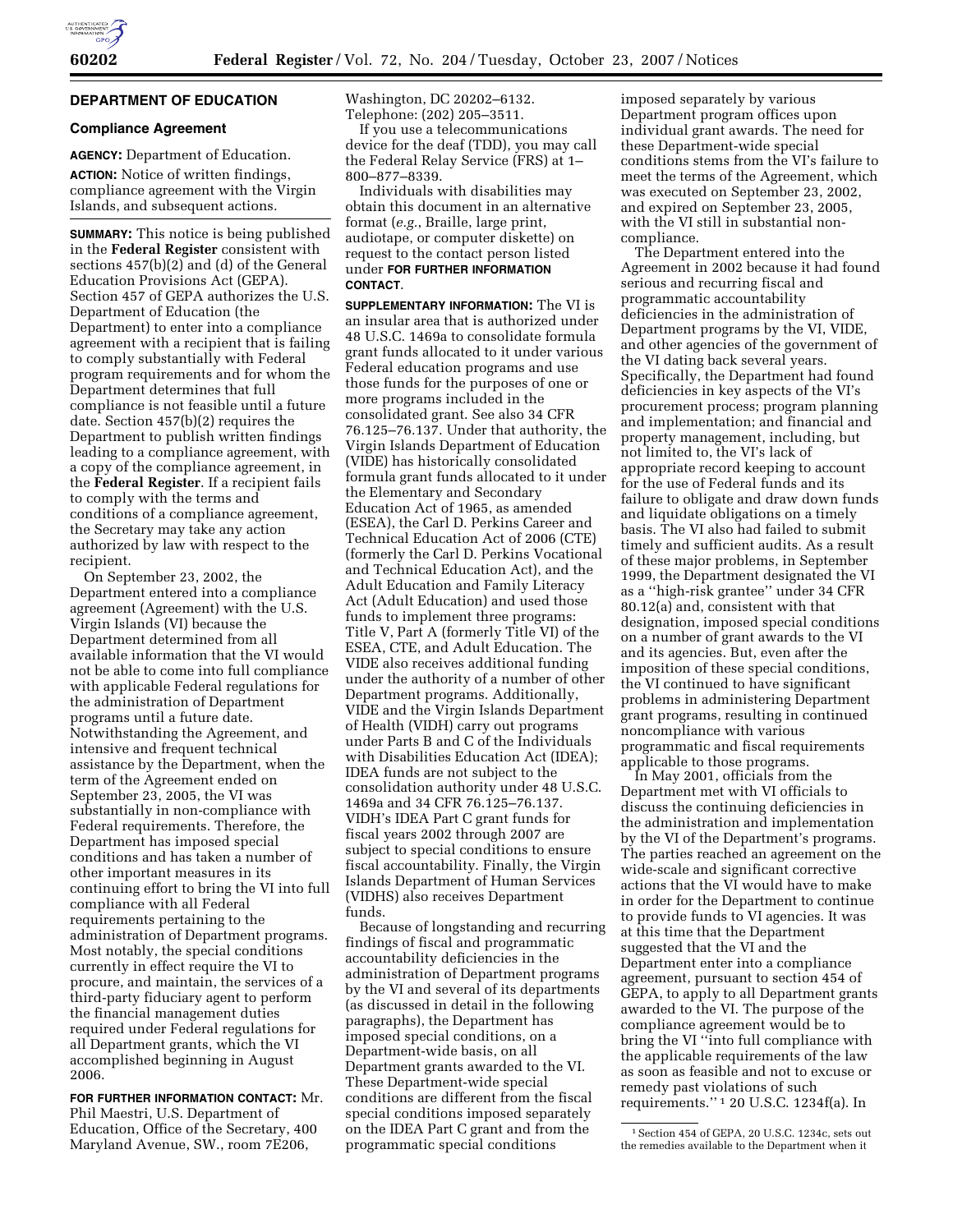

# **DEPARTMENT OF EDUCATION**

#### **Compliance Agreement**

**AGENCY:** Department of Education. **ACTION:** Notice of written findings, compliance agreement with the Virgin Islands, and subsequent actions.

**SUMMARY:** This notice is being published in the **Federal Register** consistent with sections 457(b)(2) and (d) of the General Education Provisions Act (GEPA). Section 457 of GEPA authorizes the U.S. Department of Education (the Department) to enter into a compliance agreement with a recipient that is failing to comply substantially with Federal program requirements and for whom the Department determines that full compliance is not feasible until a future date. Section 457(b)(2) requires the Department to publish written findings leading to a compliance agreement, with a copy of the compliance agreement, in the **Federal Register**. If a recipient fails to comply with the terms and conditions of a compliance agreement, the Secretary may take any action authorized by law with respect to the recipient.

On September 23, 2002, the Department entered into a compliance agreement (Agreement) with the U.S. Virgin Islands (VI) because the Department determined from all available information that the VI would not be able to come into full compliance with applicable Federal regulations for the administration of Department programs until a future date. Notwithstanding the Agreement, and intensive and frequent technical assistance by the Department, when the term of the Agreement ended on September 23, 2005, the VI was substantially in non-compliance with Federal requirements. Therefore, the Department has imposed special conditions and has taken a number of other important measures in its continuing effort to bring the VI into full compliance with all Federal requirements pertaining to the administration of Department programs. Most notably, the special conditions currently in effect require the VI to procure, and maintain, the services of a third-party fiduciary agent to perform the financial management duties required under Federal regulations for all Department grants, which the VI accomplished beginning in August 2006.

**FOR FURTHER INFORMATION CONTACT:** Mr. Phil Maestri, U.S. Department of Education, Office of the Secretary, 400 Maryland Avenue, SW., room 7E206,

Washington, DC 20202–6132. Telephone: (202) 205–3511.

If you use a telecommunications device for the deaf (TDD), you may call the Federal Relay Service (FRS) at 1– 800–877–8339.

Individuals with disabilities may obtain this document in an alternative format (*e.g.*, Braille, large print, audiotape, or computer diskette) on request to the contact person listed under **FOR FURTHER INFORMATION CONTACT**.

**SUPPLEMENTARY INFORMATION:** The VI is an insular area that is authorized under 48 U.S.C. 1469a to consolidate formula grant funds allocated to it under various Federal education programs and use those funds for the purposes of one or more programs included in the consolidated grant. See also 34 CFR 76.125–76.137. Under that authority, the Virgin Islands Department of Education (VIDE) has historically consolidated formula grant funds allocated to it under the Elementary and Secondary Education Act of 1965, as amended (ESEA), the Carl D. Perkins Career and Technical Education Act of 2006 (CTE) (formerly the Carl D. Perkins Vocational and Technical Education Act), and the Adult Education and Family Literacy Act (Adult Education) and used those funds to implement three programs: Title V, Part A (formerly Title VI) of the ESEA, CTE, and Adult Education. The VIDE also receives additional funding under the authority of a number of other Department programs. Additionally, VIDE and the Virgin Islands Department of Health (VIDH) carry out programs under Parts B and C of the Individuals with Disabilities Education Act (IDEA); IDEA funds are not subject to the consolidation authority under 48 U.S.C. 1469a and 34 CFR 76.125–76.137. VIDH's IDEA Part C grant funds for fiscal years 2002 through 2007 are subject to special conditions to ensure fiscal accountability. Finally, the Virgin Islands Department of Human Services (VIDHS) also receives Department funds.

Because of longstanding and recurring findings of fiscal and programmatic accountability deficiencies in the administration of Department programs by the VI and several of its departments (as discussed in detail in the following paragraphs), the Department has imposed special conditions, on a Department-wide basis, on all Department grants awarded to the VI. These Department-wide special conditions are different from the fiscal special conditions imposed separately on the IDEA Part C grant and from the programmatic special conditions

imposed separately by various Department program offices upon individual grant awards. The need for these Department-wide special conditions stems from the VI's failure to meet the terms of the Agreement, which was executed on September 23, 2002, and expired on September 23, 2005, with the VI still in substantial noncompliance.

The Department entered into the Agreement in 2002 because it had found serious and recurring fiscal and programmatic accountability deficiencies in the administration of Department programs by the VI, VIDE, and other agencies of the government of the VI dating back several years. Specifically, the Department had found deficiencies in key aspects of the VI's procurement process; program planning and implementation; and financial and property management, including, but not limited to, the VI's lack of appropriate record keeping to account for the use of Federal funds and its failure to obligate and draw down funds and liquidate obligations on a timely basis. The VI also had failed to submit timely and sufficient audits. As a result of these major problems, in September 1999, the Department designated the VI as a ''high-risk grantee'' under 34 CFR 80.12(a) and, consistent with that designation, imposed special conditions on a number of grant awards to the VI and its agencies. But, even after the imposition of these special conditions, the VI continued to have significant problems in administering Department grant programs, resulting in continued noncompliance with various programmatic and fiscal requirements applicable to those programs.

In May 2001, officials from the Department met with VI officials to discuss the continuing deficiencies in the administration and implementation by the VI of the Department's programs. The parties reached an agreement on the wide-scale and significant corrective actions that the VI would have to make in order for the Department to continue to provide funds to VI agencies. It was at this time that the Department suggested that the VI and the Department enter into a compliance agreement, pursuant to section 454 of GEPA, to apply to all Department grants awarded to the VI. The purpose of the compliance agreement would be to bring the VI ''into full compliance with the applicable requirements of the law as soon as feasible and not to excuse or remedy past violations of such requirements.'' 1 20 U.S.C. 1234f(a). In

<sup>1</sup>Section 454 of GEPA, 20 U.S.C. 1234c, sets out the remedies available to the Department when it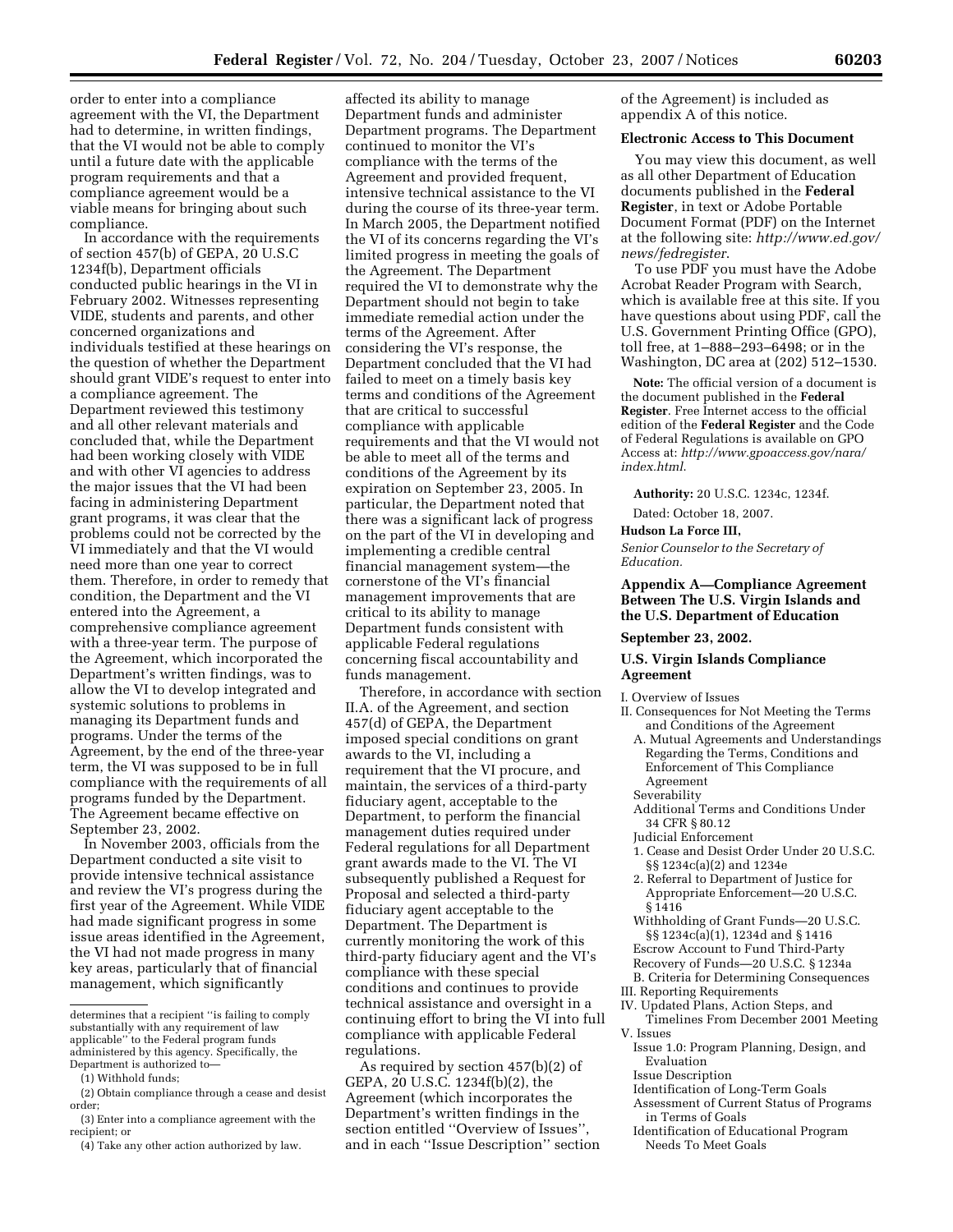order to enter into a compliance agreement with the VI, the Department had to determine, in written findings, that the VI would not be able to comply until a future date with the applicable program requirements and that a compliance agreement would be a viable means for bringing about such compliance.

In accordance with the requirements of section 457(b) of GEPA, 20 U.S.C 1234f(b), Department officials conducted public hearings in the VI in February 2002. Witnesses representing VIDE, students and parents, and other concerned organizations and individuals testified at these hearings on the question of whether the Department should grant VIDE's request to enter into a compliance agreement. The Department reviewed this testimony and all other relevant materials and concluded that, while the Department had been working closely with VIDE and with other VI agencies to address the major issues that the VI had been facing in administering Department grant programs, it was clear that the problems could not be corrected by the VI immediately and that the VI would need more than one year to correct them. Therefore, in order to remedy that condition, the Department and the VI entered into the Agreement, a comprehensive compliance agreement with a three-year term. The purpose of the Agreement, which incorporated the Department's written findings, was to allow the VI to develop integrated and systemic solutions to problems in managing its Department funds and programs. Under the terms of the Agreement, by the end of the three-year term, the VI was supposed to be in full compliance with the requirements of all programs funded by the Department. The Agreement became effective on September 23, 2002.

In November 2003, officials from the Department conducted a site visit to provide intensive technical assistance and review the VI's progress during the first year of the Agreement. While VIDE had made significant progress in some issue areas identified in the Agreement, the VI had not made progress in many key areas, particularly that of financial management, which significantly

affected its ability to manage Department funds and administer Department programs. The Department continued to monitor the VI's compliance with the terms of the Agreement and provided frequent, intensive technical assistance to the VI during the course of its three-year term. In March 2005, the Department notified the VI of its concerns regarding the VI's limited progress in meeting the goals of the Agreement. The Department required the VI to demonstrate why the Department should not begin to take immediate remedial action under the terms of the Agreement. After considering the VI's response, the Department concluded that the VI had failed to meet on a timely basis key terms and conditions of the Agreement that are critical to successful compliance with applicable requirements and that the VI would not be able to meet all of the terms and conditions of the Agreement by its expiration on September 23, 2005. In particular, the Department noted that there was a significant lack of progress on the part of the VI in developing and implementing a credible central financial management system—the cornerstone of the VI's financial management improvements that are critical to its ability to manage Department funds consistent with applicable Federal regulations concerning fiscal accountability and funds management.

Therefore, in accordance with section II.A. of the Agreement, and section 457(d) of GEPA, the Department imposed special conditions on grant awards to the VI, including a requirement that the VI procure, and maintain, the services of a third-party fiduciary agent, acceptable to the Department, to perform the financial management duties required under Federal regulations for all Department grant awards made to the VI. The VI subsequently published a Request for Proposal and selected a third-party fiduciary agent acceptable to the Department. The Department is currently monitoring the work of this third-party fiduciary agent and the VI's compliance with these special conditions and continues to provide technical assistance and oversight in a continuing effort to bring the VI into full compliance with applicable Federal regulations.

As required by section 457(b)(2) of GEPA, 20 U.S.C. 1234f(b)(2), the Agreement (which incorporates the Department's written findings in the section entitled ''Overview of Issues'', and in each ''Issue Description'' section of the Agreement) is included as appendix A of this notice.

#### **Electronic Access to This Document**

You may view this document, as well as all other Department of Education documents published in the **Federal Register**, in text or Adobe Portable Document Format (PDF) on the Internet at the following site: *http://www.ed.gov/ news/fedregister*.

To use PDF you must have the Adobe Acrobat Reader Program with Search, which is available free at this site. If you have questions about using PDF, call the U.S. Government Printing Office (GPO), toll free, at 1–888–293–6498; or in the Washington, DC area at (202) 512–1530.

**Note:** The official version of a document is the document published in the **Federal Register**. Free Internet access to the official edition of the **Federal Register** and the Code of Federal Regulations is available on GPO Access at: *http://www.gpoaccess.gov/nara/ index.html*.

**Authority:** 20 U.S.C. 1234c, 1234f.

Dated: October 18, 2007.

#### **Hudson La Force III,**

*Senior Counselor to the Secretary of Education.* 

# **Appendix A—Compliance Agreement Between The U.S. Virgin Islands and the U.S. Department of Education**

## **September 23, 2002.**

# **U.S. Virgin Islands Compliance Agreement**

I. Overview of Issues

- II. Consequences for Not Meeting the Terms and Conditions of the Agreement
	- A. Mutual Agreements and Understandings Regarding the Terms, Conditions and Enforcement of This Compliance Agreement
	- Severability
	- Additional Terms and Conditions Under 34 CFR § 80.12
	- Judicial Enforcement
	- 1. Cease and Desist Order Under 20 U.S.C. §§ 1234c(a)(2) and 1234e
	- 2. Referral to Department of Justice for Appropriate Enforcement—20 U.S.C.  $\sqrt{31416}$
	- Withholding of Grant Funds—20 U.S.C. §§ 1234c(a)(1), 1234d and § 1416
	- Escrow Account to Fund Third-Party
	- Recovery of Funds—20 U.S.C. § 1234a
- B. Criteria for Determining Consequences
- III. Reporting Requirements
- IV. Updated Plans, Action Steps, and Timelines From December 2001 Meeting V. Issues
	- Issue 1.0: Program Planning, Design, and Evaluation
- Issue Description
- Identification of Long-Term Goals
- Assessment of Current Status of Programs in Terms of Goals
- Identification of Educational Program Needs To Meet Goals

determines that a recipient ''is failing to comply substantially with any requirement of law applicable'' to the Federal program funds administered by this agency. Specifically, the Department is authorized to—

<sup>(1)</sup> Withhold funds;

<sup>(2)</sup> Obtain compliance through a cease and desist order;

<sup>(3)</sup> Enter into a compliance agreement with the recipient; or

<sup>(4)</sup> Take any other action authorized by law.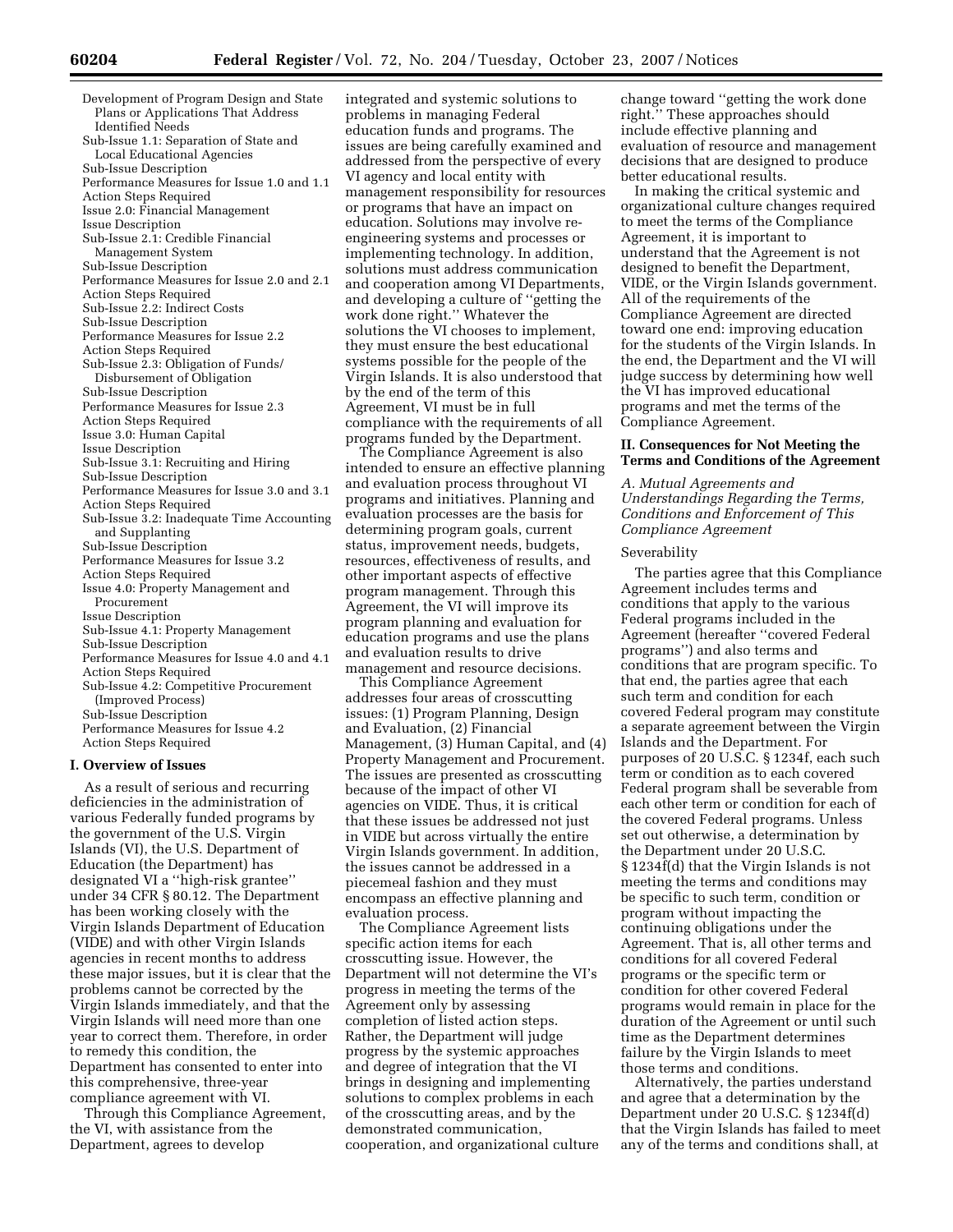Development of Program Design and State Plans or Applications That Address Identified Needs Sub-Issue 1.1: Separation of State and Local Educational Agencies Sub-Issue Description Performance Measures for Issue 1.0 and 1.1 Action Steps Required Issue 2.0: Financial Management Issue Description Sub-Issue 2.1: Credible Financial Management System Sub-Issue Description Performance Measures for Issue 2.0 and 2.1 Action Steps Required Sub-Issue 2.2: Indirect Costs Sub-Issue Description Performance Measures for Issue 2.2 Action Steps Required Sub-Issue 2.3: Obligation of Funds/ Disbursement of Obligation Sub-Issue Description Performance Measures for Issue 2.3 Action Steps Required Issue 3.0: Human Capital Issue Description Sub-Issue 3.1: Recruiting and Hiring Sub-Issue Description Performance Measures for Issue 3.0 and 3.1 Action Steps Required Sub-Issue 3.2: Inadequate Time Accounting and Supplanting Sub-Issue Description Performance Measures for Issue 3.2 Action Steps Required Issue 4.0: Property Management and Procurement Issue Description Sub-Issue 4.1: Property Management Sub-Issue Description Performance Measures for Issue 4.0 and 4.1 Action Steps Required Sub-Issue 4.2: Competitive Procurement (Improved Process) Sub-Issue Description Performance Measures for Issue 4.2 Action Steps Required

#### **I. Overview of Issues**

As a result of serious and recurring deficiencies in the administration of various Federally funded programs by the government of the U.S. Virgin Islands (VI), the U.S. Department of Education (the Department) has designated VI a ''high-risk grantee'' under 34 CFR § 80.12. The Department has been working closely with the Virgin Islands Department of Education (VIDE) and with other Virgin Islands agencies in recent months to address these major issues, but it is clear that the problems cannot be corrected by the Virgin Islands immediately, and that the Virgin Islands will need more than one year to correct them. Therefore, in order to remedy this condition, the Department has consented to enter into this comprehensive, three-year compliance agreement with VI.

Through this Compliance Agreement, the VI, with assistance from the Department, agrees to develop

integrated and systemic solutions to problems in managing Federal education funds and programs. The issues are being carefully examined and addressed from the perspective of every VI agency and local entity with management responsibility for resources or programs that have an impact on education. Solutions may involve reengineering systems and processes or implementing technology. In addition, solutions must address communication and cooperation among VI Departments, and developing a culture of ''getting the work done right.'' Whatever the solutions the VI chooses to implement, they must ensure the best educational systems possible for the people of the Virgin Islands. It is also understood that by the end of the term of this Agreement, VI must be in full compliance with the requirements of all programs funded by the Department.

The Compliance Agreement is also intended to ensure an effective planning and evaluation process throughout VI programs and initiatives. Planning and evaluation processes are the basis for determining program goals, current status, improvement needs, budgets, resources, effectiveness of results, and other important aspects of effective program management. Through this Agreement, the VI will improve its program planning and evaluation for education programs and use the plans and evaluation results to drive management and resource decisions.

This Compliance Agreement addresses four areas of crosscutting issues: (1) Program Planning, Design and Evaluation, (2) Financial Management, (3) Human Capital, and (4) Property Management and Procurement. The issues are presented as crosscutting because of the impact of other VI agencies on VIDE. Thus, it is critical that these issues be addressed not just in VIDE but across virtually the entire Virgin Islands government. In addition, the issues cannot be addressed in a piecemeal fashion and they must encompass an effective planning and evaluation process.

The Compliance Agreement lists specific action items for each crosscutting issue. However, the Department will not determine the VI's progress in meeting the terms of the Agreement only by assessing completion of listed action steps. Rather, the Department will judge progress by the systemic approaches and degree of integration that the VI brings in designing and implementing solutions to complex problems in each of the crosscutting areas, and by the demonstrated communication, cooperation, and organizational culture change toward ''getting the work done right.'' These approaches should include effective planning and evaluation of resource and management decisions that are designed to produce better educational results.

In making the critical systemic and organizational culture changes required to meet the terms of the Compliance Agreement, it is important to understand that the Agreement is not designed to benefit the Department, VIDE, or the Virgin Islands government. All of the requirements of the Compliance Agreement are directed toward one end: improving education for the students of the Virgin Islands. In the end, the Department and the VI will judge success by determining how well the VI has improved educational programs and met the terms of the Compliance Agreement.

### **II. Consequences for Not Meeting the Terms and Conditions of the Agreement**

*A. Mutual Agreements and Understandings Regarding the Terms, Conditions and Enforcement of This Compliance Agreement* 

#### Severability

The parties agree that this Compliance Agreement includes terms and conditions that apply to the various Federal programs included in the Agreement (hereafter ''covered Federal programs'') and also terms and conditions that are program specific. To that end, the parties agree that each such term and condition for each covered Federal program may constitute a separate agreement between the Virgin Islands and the Department. For purposes of 20 U.S.C. § 1234f, each such term or condition as to each covered Federal program shall be severable from each other term or condition for each of the covered Federal programs. Unless set out otherwise, a determination by the Department under 20 U.S.C. § 1234f(d) that the Virgin Islands is not meeting the terms and conditions may be specific to such term, condition or program without impacting the continuing obligations under the Agreement. That is, all other terms and conditions for all covered Federal programs or the specific term or condition for other covered Federal programs would remain in place for the duration of the Agreement or until such time as the Department determines failure by the Virgin Islands to meet those terms and conditions.

Alternatively, the parties understand and agree that a determination by the Department under 20 U.S.C. § 1234f(d) that the Virgin Islands has failed to meet any of the terms and conditions shall, at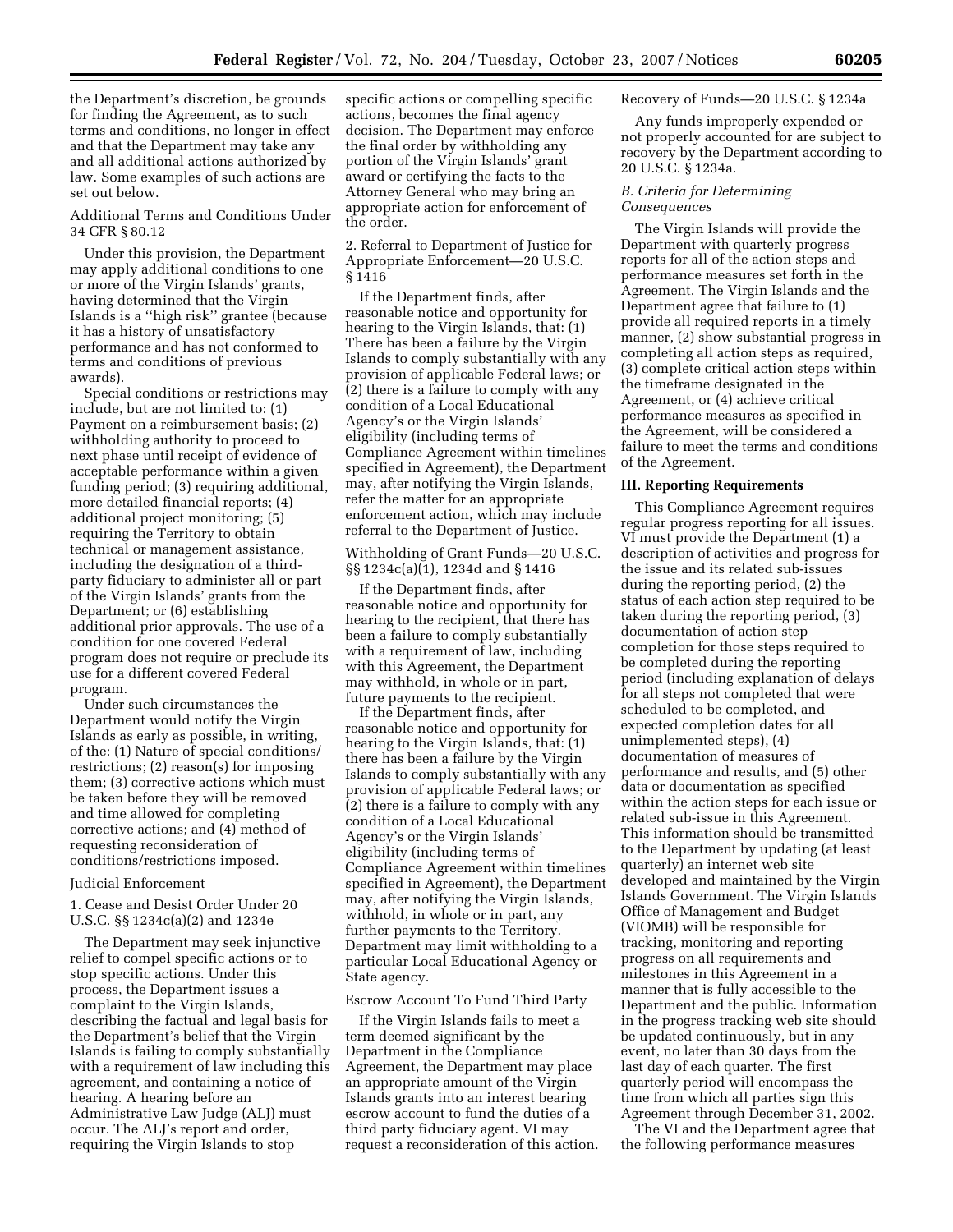the Department's discretion, be grounds for finding the Agreement, as to such terms and conditions, no longer in effect and that the Department may take any and all additional actions authorized by law. Some examples of such actions are set out below.

Additional Terms and Conditions Under 34 CFR § 80.12

Under this provision, the Department may apply additional conditions to one or more of the Virgin Islands' grants, having determined that the Virgin Islands is a ''high risk'' grantee (because it has a history of unsatisfactory performance and has not conformed to terms and conditions of previous awards).

Special conditions or restrictions may include, but are not limited to: (1) Payment on a reimbursement basis; (2) withholding authority to proceed to next phase until receipt of evidence of acceptable performance within a given funding period; (3) requiring additional, more detailed financial reports; (4) additional project monitoring; (5) requiring the Territory to obtain technical or management assistance, including the designation of a thirdparty fiduciary to administer all or part of the Virgin Islands' grants from the Department; or (6) establishing additional prior approvals. The use of a condition for one covered Federal program does not require or preclude its use for a different covered Federal program.

Under such circumstances the Department would notify the Virgin Islands as early as possible, in writing, of the: (1) Nature of special conditions/ restrictions; (2) reason(s) for imposing them; (3) corrective actions which must be taken before they will be removed and time allowed for completing corrective actions; and (4) method of requesting reconsideration of conditions/restrictions imposed.

### Judicial Enforcement

1. Cease and Desist Order Under 20 U.S.C. §§ 1234c(a)(2) and 1234e

The Department may seek injunctive relief to compel specific actions or to stop specific actions. Under this process, the Department issues a complaint to the Virgin Islands, describing the factual and legal basis for the Department's belief that the Virgin Islands is failing to comply substantially with a requirement of law including this agreement, and containing a notice of hearing. A hearing before an Administrative Law Judge (ALJ) must occur. The ALJ's report and order, requiring the Virgin Islands to stop

specific actions or compelling specific actions, becomes the final agency decision. The Department may enforce the final order by withholding any portion of the Virgin Islands' grant award or certifying the facts to the Attorney General who may bring an appropriate action for enforcement of the order.

2. Referral to Department of Justice for Appropriate Enforcement—20 U.S.C. § 1416

If the Department finds, after reasonable notice and opportunity for hearing to the Virgin Islands, that: (1) There has been a failure by the Virgin Islands to comply substantially with any provision of applicable Federal laws; or (2) there is a failure to comply with any condition of a Local Educational Agency's or the Virgin Islands' eligibility (including terms of Compliance Agreement within timelines specified in Agreement), the Department may, after notifying the Virgin Islands, refer the matter for an appropriate enforcement action, which may include referral to the Department of Justice.

# Withholding of Grant Funds—20 U.S.C. §§ 1234c(a)(1), 1234d and § 1416

If the Department finds, after reasonable notice and opportunity for hearing to the recipient, that there has been a failure to comply substantially with a requirement of law, including with this Agreement, the Department may withhold, in whole or in part, future payments to the recipient.

If the Department finds, after reasonable notice and opportunity for hearing to the Virgin Islands, that: (1) there has been a failure by the Virgin Islands to comply substantially with any provision of applicable Federal laws; or (2) there is a failure to comply with any condition of a Local Educational Agency's or the Virgin Islands' eligibility (including terms of Compliance Agreement within timelines specified in Agreement), the Department may, after notifying the Virgin Islands, withhold, in whole or in part, any further payments to the Territory. Department may limit withholding to a particular Local Educational Agency or State agency.

### Escrow Account To Fund Third Party

If the Virgin Islands fails to meet a term deemed significant by the Department in the Compliance Agreement, the Department may place an appropriate amount of the Virgin Islands grants into an interest bearing escrow account to fund the duties of a third party fiduciary agent. VI may request a reconsideration of this action.

## Recovery of Funds—20 U.S.C. § 1234a

Any funds improperly expended or not properly accounted for are subject to recovery by the Department according to 20 U.S.C. § 1234a.

#### *B. Criteria for Determining Consequences*

The Virgin Islands will provide the Department with quarterly progress reports for all of the action steps and performance measures set forth in the Agreement. The Virgin Islands and the Department agree that failure to (1) provide all required reports in a timely manner, (2) show substantial progress in completing all action steps as required, (3) complete critical action steps within the timeframe designated in the Agreement, or (4) achieve critical performance measures as specified in the Agreement, will be considered a failure to meet the terms and conditions of the Agreement.

#### **III. Reporting Requirements**

This Compliance Agreement requires regular progress reporting for all issues. VI must provide the Department (1) a description of activities and progress for the issue and its related sub-issues during the reporting period, (2) the status of each action step required to be taken during the reporting period, (3) documentation of action step completion for those steps required to be completed during the reporting period (including explanation of delays for all steps not completed that were scheduled to be completed, and expected completion dates for all unimplemented steps), (4) documentation of measures of performance and results, and (5) other data or documentation as specified within the action steps for each issue or related sub-issue in this Agreement. This information should be transmitted to the Department by updating (at least quarterly) an internet web site developed and maintained by the Virgin Islands Government. The Virgin Islands Office of Management and Budget (VIOMB) will be responsible for tracking, monitoring and reporting progress on all requirements and milestones in this Agreement in a manner that is fully accessible to the Department and the public. Information in the progress tracking web site should be updated continuously, but in any event, no later than 30 days from the last day of each quarter. The first quarterly period will encompass the time from which all parties sign this Agreement through December 31, 2002.

The VI and the Department agree that the following performance measures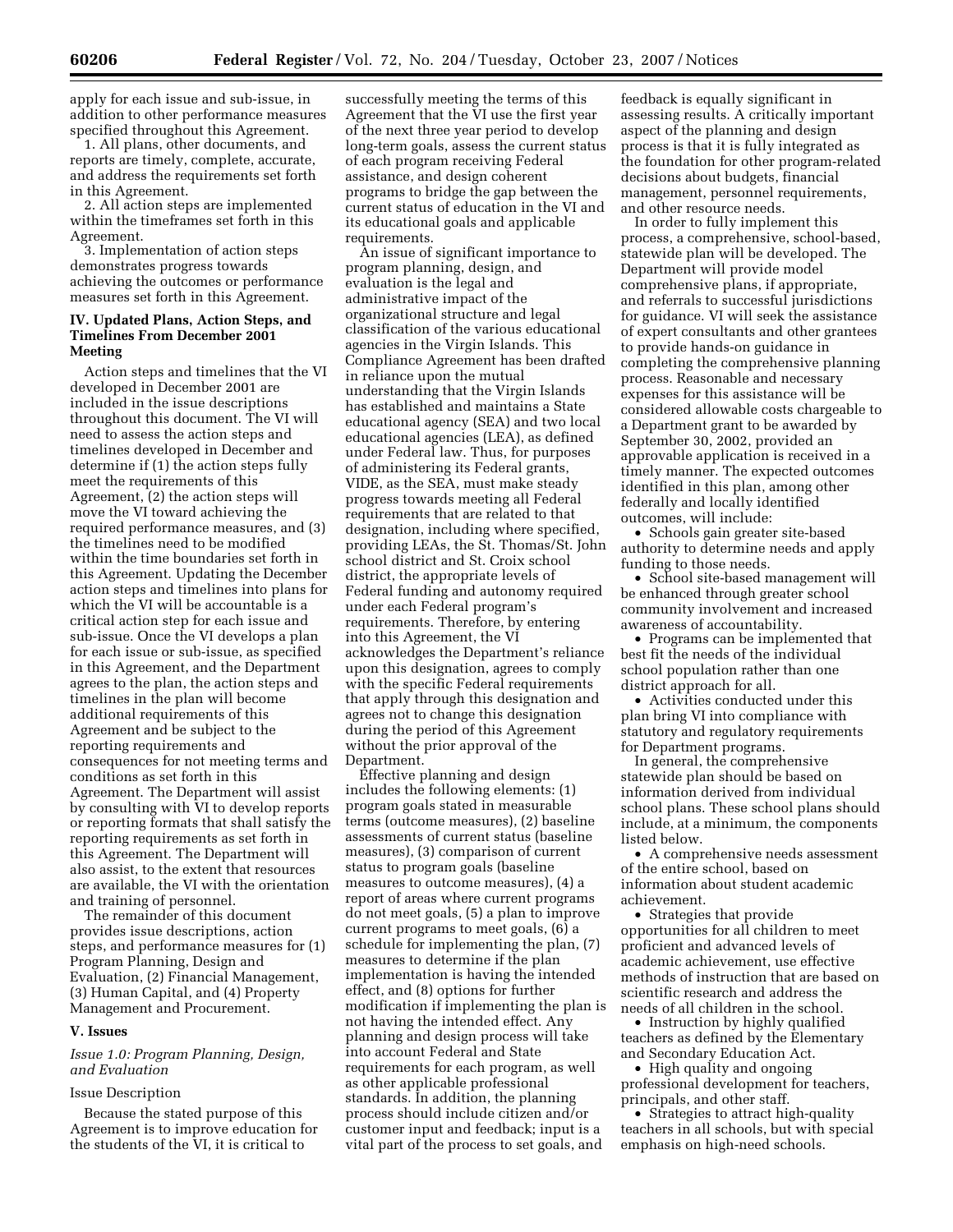apply for each issue and sub-issue, in addition to other performance measures specified throughout this Agreement.

1. All plans, other documents, and reports are timely, complete, accurate, and address the requirements set forth in this Agreement.

2. All action steps are implemented within the timeframes set forth in this Agreement.

3. Implementation of action steps demonstrates progress towards achieving the outcomes or performance measures set forth in this Agreement.

# **IV. Updated Plans, Action Steps, and Timelines From December 2001 Meeting**

Action steps and timelines that the VI developed in December 2001 are included in the issue descriptions throughout this document. The VI will need to assess the action steps and timelines developed in December and determine if (1) the action steps fully meet the requirements of this Agreement, (2) the action steps will move the VI toward achieving the required performance measures, and (3) the timelines need to be modified within the time boundaries set forth in this Agreement. Updating the December action steps and timelines into plans for which the VI will be accountable is a critical action step for each issue and sub-issue. Once the VI develops a plan for each issue or sub-issue, as specified in this Agreement, and the Department agrees to the plan, the action steps and timelines in the plan will become additional requirements of this Agreement and be subject to the reporting requirements and consequences for not meeting terms and conditions as set forth in this Agreement. The Department will assist by consulting with VI to develop reports or reporting formats that shall satisfy the reporting requirements as set forth in this Agreement. The Department will also assist, to the extent that resources are available, the VI with the orientation and training of personnel.

The remainder of this document provides issue descriptions, action steps, and performance measures for (1) Program Planning, Design and Evaluation, (2) Financial Management, (3) Human Capital, and (4) Property Management and Procurement.

### **V. Issues**

### *Issue 1.0: Program Planning, Design, and Evaluation*

### Issue Description

Because the stated purpose of this Agreement is to improve education for the students of the VI, it is critical to

successfully meeting the terms of this Agreement that the VI use the first year of the next three year period to develop long-term goals, assess the current status of each program receiving Federal assistance, and design coherent programs to bridge the gap between the current status of education in the VI and its educational goals and applicable requirements.

An issue of significant importance to program planning, design, and evaluation is the legal and administrative impact of the organizational structure and legal classification of the various educational agencies in the Virgin Islands. This Compliance Agreement has been drafted in reliance upon the mutual understanding that the Virgin Islands has established and maintains a State educational agency (SEA) and two local educational agencies (LEA), as defined under Federal law. Thus, for purposes of administering its Federal grants, VIDE, as the SEA, must make steady progress towards meeting all Federal requirements that are related to that designation, including where specified, providing LEAs, the St. Thomas/St. John school district and St. Croix school district, the appropriate levels of Federal funding and autonomy required under each Federal program's requirements. Therefore, by entering into this Agreement, the VI acknowledges the Department's reliance upon this designation, agrees to comply with the specific Federal requirements that apply through this designation and agrees not to change this designation during the period of this Agreement without the prior approval of the Department.

Effective planning and design includes the following elements: (1) program goals stated in measurable terms (outcome measures), (2) baseline assessments of current status (baseline measures), (3) comparison of current status to program goals (baseline measures to outcome measures), (4) a report of areas where current programs do not meet goals, (5) a plan to improve current programs to meet goals, (6) a schedule for implementing the plan, (7) measures to determine if the plan implementation is having the intended effect, and (8) options for further modification if implementing the plan is not having the intended effect. Any planning and design process will take into account Federal and State requirements for each program, as well as other applicable professional standards. In addition, the planning process should include citizen and/or customer input and feedback; input is a vital part of the process to set goals, and

feedback is equally significant in assessing results. A critically important aspect of the planning and design process is that it is fully integrated as the foundation for other program-related decisions about budgets, financial management, personnel requirements, and other resource needs.

In order to fully implement this process, a comprehensive, school-based, statewide plan will be developed. The Department will provide model comprehensive plans, if appropriate, and referrals to successful jurisdictions for guidance. VI will seek the assistance of expert consultants and other grantees to provide hands-on guidance in completing the comprehensive planning process. Reasonable and necessary expenses for this assistance will be considered allowable costs chargeable to a Department grant to be awarded by September 30, 2002, provided an approvable application is received in a timely manner. The expected outcomes identified in this plan, among other federally and locally identified outcomes, will include:

• Schools gain greater site-based authority to determine needs and apply funding to those needs.

• School site-based management will be enhanced through greater school community involvement and increased awareness of accountability.

• Programs can be implemented that best fit the needs of the individual school population rather than one district approach for all.

• Activities conducted under this plan bring VI into compliance with statutory and regulatory requirements for Department programs.

In general, the comprehensive statewide plan should be based on information derived from individual school plans. These school plans should include, at a minimum, the components listed below.

• A comprehensive needs assessment of the entire school, based on information about student academic achievement.

• Strategies that provide opportunities for all children to meet proficient and advanced levels of academic achievement, use effective methods of instruction that are based on scientific research and address the needs of all children in the school.

• Instruction by highly qualified teachers as defined by the Elementary and Secondary Education Act.

• High quality and ongoing professional development for teachers, principals, and other staff.

• Strategies to attract high-quality teachers in all schools, but with special emphasis on high-need schools.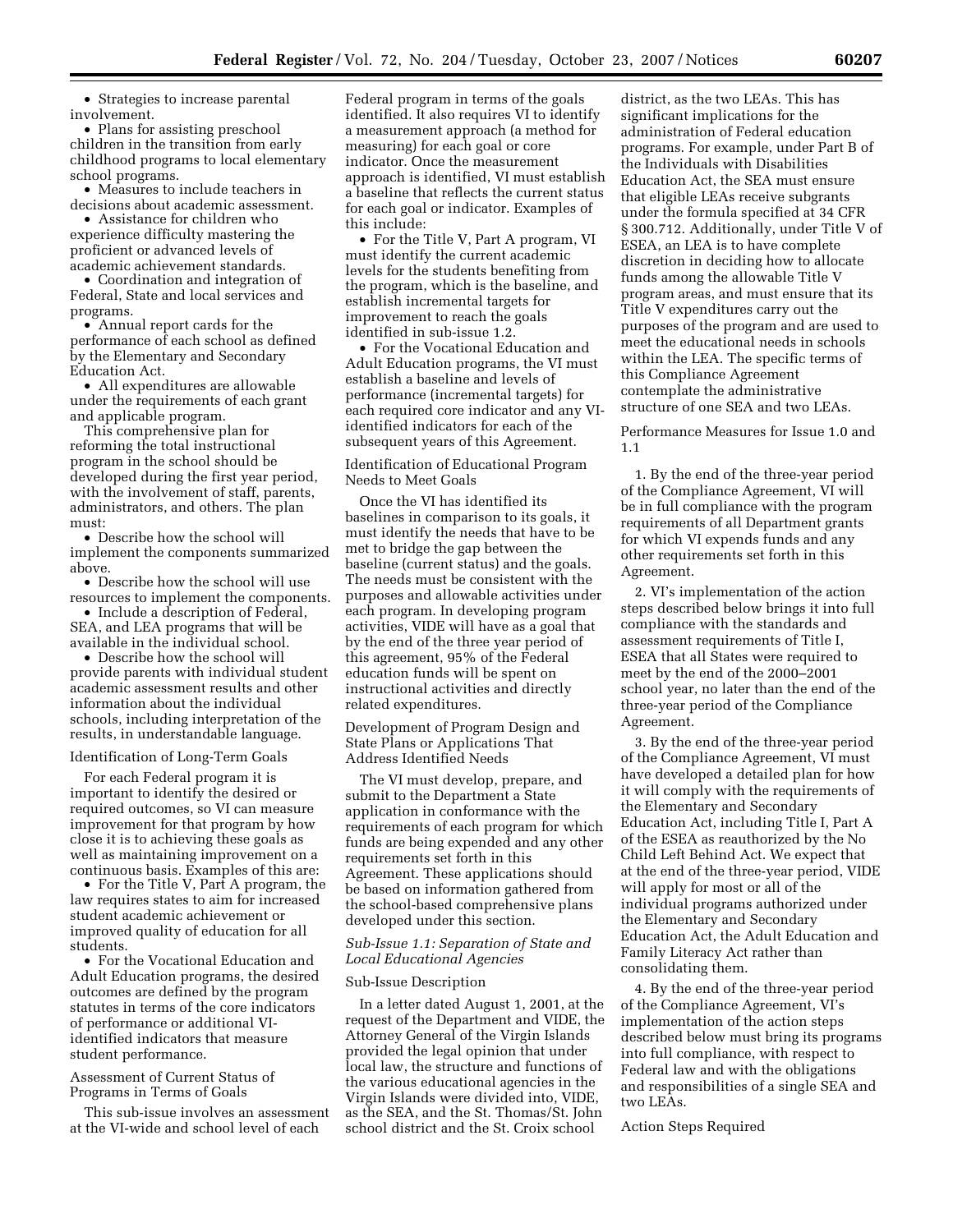• Strategies to increase parental involvement.

• Plans for assisting preschool children in the transition from early childhood programs to local elementary school programs.

• Measures to include teachers in decisions about academic assessment.

• Assistance for children who experience difficulty mastering the proficient or advanced levels of academic achievement standards.

• Coordination and integration of Federal, State and local services and programs.

• Annual report cards for the performance of each school as defined by the Elementary and Secondary Education Act.

• All expenditures are allowable under the requirements of each grant and applicable program.

This comprehensive plan for reforming the total instructional program in the school should be developed during the first year period, with the involvement of staff, parents, administrators, and others. The plan must:

• Describe how the school will implement the components summarized above.

• Describe how the school will use resources to implement the components.

• Include a description of Federal, SEA, and LEA programs that will be available in the individual school.

• Describe how the school will provide parents with individual student academic assessment results and other information about the individual schools, including interpretation of the results, in understandable language.

#### Identification of Long-Term Goals

For each Federal program it is important to identify the desired or required outcomes, so VI can measure improvement for that program by how close it is to achieving these goals as well as maintaining improvement on a continuous basis. Examples of this are:

• For the Title V, Part A program, the law requires states to aim for increased student academic achievement or improved quality of education for all students.

• For the Vocational Education and Adult Education programs, the desired outcomes are defined by the program statutes in terms of the core indicators of performance or additional VIidentified indicators that measure student performance.

Assessment of Current Status of Programs in Terms of Goals

This sub-issue involves an assessment at the VI-wide and school level of each

Federal program in terms of the goals identified. It also requires VI to identify a measurement approach (a method for measuring) for each goal or core indicator. Once the measurement approach is identified, VI must establish a baseline that reflects the current status for each goal or indicator. Examples of this include:

• For the Title V, Part A program, VI must identify the current academic levels for the students benefiting from the program, which is the baseline, and establish incremental targets for improvement to reach the goals identified in sub-issue 1.2.

• For the Vocational Education and Adult Education programs, the VI must establish a baseline and levels of performance (incremental targets) for each required core indicator and any VIidentified indicators for each of the subsequent years of this Agreement.

Identification of Educational Program Needs to Meet Goals

Once the VI has identified its baselines in comparison to its goals, it must identify the needs that have to be met to bridge the gap between the baseline (current status) and the goals. The needs must be consistent with the purposes and allowable activities under each program. In developing program activities, VIDE will have as a goal that by the end of the three year period of this agreement, 95% of the Federal education funds will be spent on instructional activities and directly related expenditures.

Development of Program Design and State Plans or Applications That Address Identified Needs

The VI must develop, prepare, and submit to the Department a State application in conformance with the requirements of each program for which funds are being expended and any other requirements set forth in this Agreement. These applications should be based on information gathered from the school-based comprehensive plans developed under this section.

## *Sub-Issue 1.1: Separation of State and Local Educational Agencies*

### Sub-Issue Description

In a letter dated August 1, 2001, at the request of the Department and VIDE, the Attorney General of the Virgin Islands provided the legal opinion that under local law, the structure and functions of the various educational agencies in the Virgin Islands were divided into, VIDE, as the SEA, and the St. Thomas/St. John school district and the St. Croix school

district, as the two LEAs. This has significant implications for the administration of Federal education programs. For example, under Part B of the Individuals with Disabilities Education Act, the SEA must ensure that eligible LEAs receive subgrants under the formula specified at 34 CFR § 300.712. Additionally, under Title V of ESEA, an LEA is to have complete discretion in deciding how to allocate funds among the allowable Title V program areas, and must ensure that its Title V expenditures carry out the purposes of the program and are used to meet the educational needs in schools within the LEA. The specific terms of this Compliance Agreement contemplate the administrative structure of one SEA and two LEAs.

Performance Measures for Issue 1.0 and 1.1

1. By the end of the three-year period of the Compliance Agreement, VI will be in full compliance with the program requirements of all Department grants for which VI expends funds and any other requirements set forth in this Agreement.

2. VI's implementation of the action steps described below brings it into full compliance with the standards and assessment requirements of Title I, ESEA that all States were required to meet by the end of the 2000–2001 school year, no later than the end of the three-year period of the Compliance Agreement.

3. By the end of the three-year period of the Compliance Agreement, VI must have developed a detailed plan for how it will comply with the requirements of the Elementary and Secondary Education Act, including Title I, Part A of the ESEA as reauthorized by the No Child Left Behind Act. We expect that at the end of the three-year period, VIDE will apply for most or all of the individual programs authorized under the Elementary and Secondary Education Act, the Adult Education and Family Literacy Act rather than consolidating them.

4. By the end of the three-year period of the Compliance Agreement, VI's implementation of the action steps described below must bring its programs into full compliance, with respect to Federal law and with the obligations and responsibilities of a single SEA and two LEAs.

Action Steps Required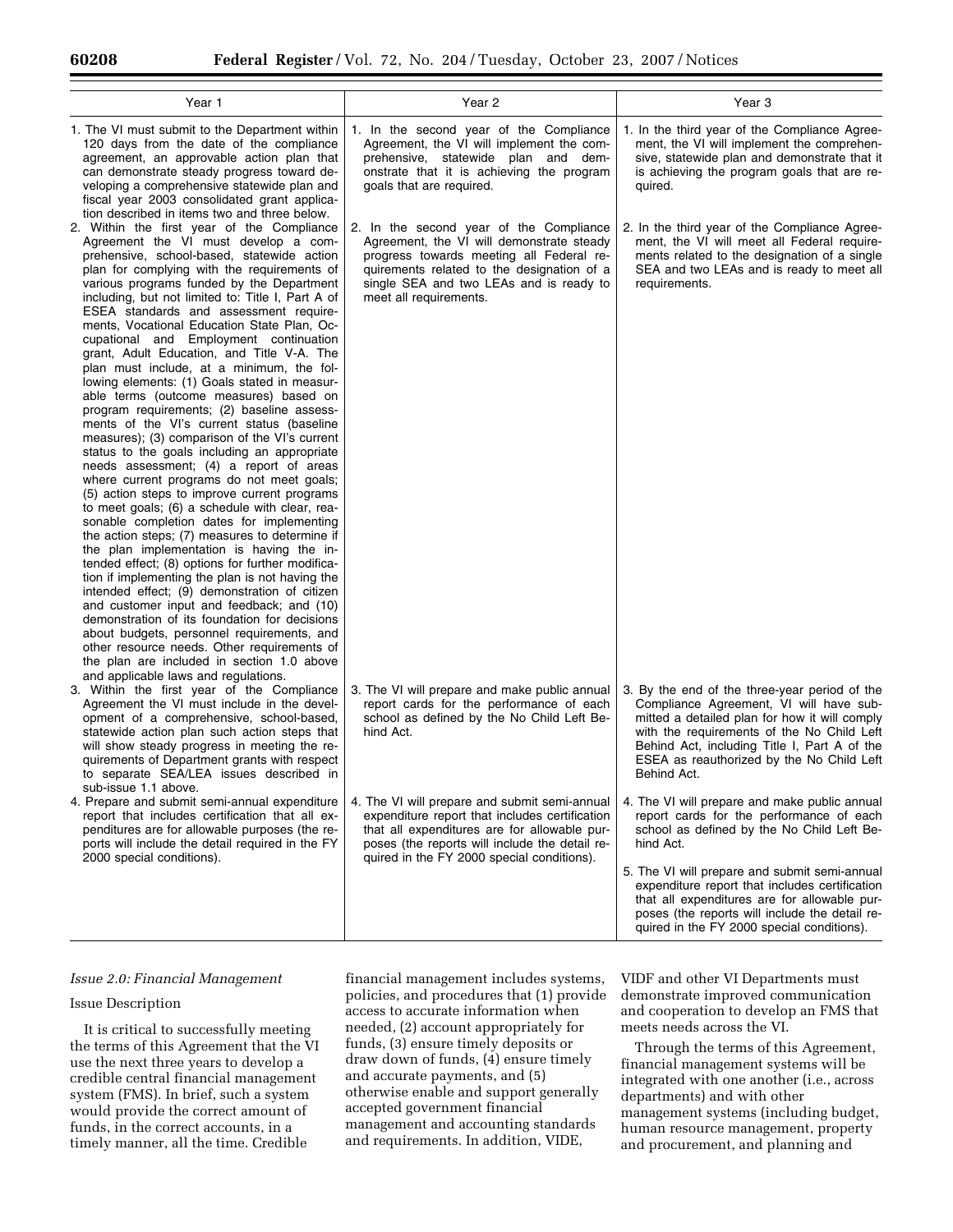| Year 1                                                                                                                                                                                                                                                                                                                                                                                                                                                                                                                                                                                                                                                                                                                                                                                                                                                                                                                                                                                                                                                                                                                                                                                                                                                                                                                                                                                                                                                                                                                                                                                | Year 2                                                                                                                                                                                                                                              | Year 3                                                                                                                                                                                                                                                                                              |
|---------------------------------------------------------------------------------------------------------------------------------------------------------------------------------------------------------------------------------------------------------------------------------------------------------------------------------------------------------------------------------------------------------------------------------------------------------------------------------------------------------------------------------------------------------------------------------------------------------------------------------------------------------------------------------------------------------------------------------------------------------------------------------------------------------------------------------------------------------------------------------------------------------------------------------------------------------------------------------------------------------------------------------------------------------------------------------------------------------------------------------------------------------------------------------------------------------------------------------------------------------------------------------------------------------------------------------------------------------------------------------------------------------------------------------------------------------------------------------------------------------------------------------------------------------------------------------------|-----------------------------------------------------------------------------------------------------------------------------------------------------------------------------------------------------------------------------------------------------|-----------------------------------------------------------------------------------------------------------------------------------------------------------------------------------------------------------------------------------------------------------------------------------------------------|
| 1. The VI must submit to the Department within<br>120 days from the date of the compliance<br>agreement, an approvable action plan that<br>can demonstrate steady progress toward de-<br>veloping a comprehensive statewide plan and<br>fiscal year 2003 consolidated grant applica-<br>tion described in items two and three below.                                                                                                                                                                                                                                                                                                                                                                                                                                                                                                                                                                                                                                                                                                                                                                                                                                                                                                                                                                                                                                                                                                                                                                                                                                                  | 1. In the second year of the Compliance<br>Agreement, the VI will implement the com-<br>prehensive, statewide plan and dem-<br>onstrate that it is achieving the program<br>goals that are required.                                                | 1. In the third year of the Compliance Agree-<br>ment, the VI will implement the comprehen-<br>sive, statewide plan and demonstrate that it<br>is achieving the program goals that are re-<br>quired.                                                                                               |
| 2. Within the first year of the Compliance<br>Agreement the VI must develop a com-<br>prehensive, school-based, statewide action<br>plan for complying with the requirements of<br>various programs funded by the Department<br>including, but not limited to: Title I, Part A of<br>ESEA standards and assessment require-<br>ments, Vocational Education State Plan, Oc-<br>cupational and Employment continuation<br>grant, Adult Education, and Title V-A. The<br>plan must include, at a minimum, the fol-<br>lowing elements: (1) Goals stated in measur-<br>able terms (outcome measures) based on<br>program requirements; (2) baseline assess-<br>ments of the VI's current status (baseline<br>measures); (3) comparison of the VI's current<br>status to the goals including an appropriate<br>needs assessment; (4) a report of areas<br>where current programs do not meet goals;<br>(5) action steps to improve current programs<br>to meet goals; (6) a schedule with clear, rea-<br>sonable completion dates for implementing<br>the action steps; (7) measures to determine if<br>the plan implementation is having the in-<br>tended effect; (8) options for further modifica-<br>tion if implementing the plan is not having the<br>intended effect; (9) demonstration of citizen<br>and customer input and feedback; and (10)<br>demonstration of its foundation for decisions<br>about budgets, personnel requirements, and<br>other resource needs. Other requirements of<br>the plan are included in section 1.0 above<br>and applicable laws and regulations. | 2. In the second year of the Compliance<br>Agreement, the VI will demonstrate steady<br>progress towards meeting all Federal re-<br>quirements related to the designation of a<br>single SEA and two LEAs and is ready to<br>meet all requirements. | 2. In the third year of the Compliance Agree-<br>ment, the VI will meet all Federal require-<br>ments related to the designation of a single<br>SEA and two LEAs and is ready to meet all<br>requirements.                                                                                          |
| 3. Within the first year of the Compliance<br>Agreement the VI must include in the devel-<br>opment of a comprehensive, school-based,<br>statewide action plan such action steps that<br>will show steady progress in meeting the re-<br>quirements of Department grants with respect<br>to separate SEA/LEA issues described in<br>sub-issue 1.1 above.                                                                                                                                                                                                                                                                                                                                                                                                                                                                                                                                                                                                                                                                                                                                                                                                                                                                                                                                                                                                                                                                                                                                                                                                                              | 3. The VI will prepare and make public annual<br>report cards for the performance of each<br>school as defined by the No Child Left Be-<br>hind Act.                                                                                                | 3. By the end of the three-year period of the<br>Compliance Agreement, VI will have sub-<br>mitted a detailed plan for how it will comply<br>with the requirements of the No Child Left<br>Behind Act, including Title I, Part A of the<br>ESEA as reauthorized by the No Child Left<br>Behind Act. |
| 4. Prepare and submit semi-annual expenditure<br>report that includes certification that all ex-<br>penditures are for allowable purposes (the re-<br>ports will include the detail required in the FY<br>2000 special conditions).                                                                                                                                                                                                                                                                                                                                                                                                                                                                                                                                                                                                                                                                                                                                                                                                                                                                                                                                                                                                                                                                                                                                                                                                                                                                                                                                                   | 4. The VI will prepare and submit semi-annual<br>expenditure report that includes certification<br>that all expenditures are for allowable pur-<br>poses (the reports will include the detail re-<br>quired in the FY 2000 special conditions).     | 4. The VI will prepare and make public annual<br>report cards for the performance of each<br>school as defined by the No Child Left Be-<br>hind Act.                                                                                                                                                |
|                                                                                                                                                                                                                                                                                                                                                                                                                                                                                                                                                                                                                                                                                                                                                                                                                                                                                                                                                                                                                                                                                                                                                                                                                                                                                                                                                                                                                                                                                                                                                                                       |                                                                                                                                                                                                                                                     | 5. The VI will prepare and submit semi-annual<br>expenditure report that includes certification<br>that all expenditures are for allowable pur-<br>poses (the reports will include the detail re-<br>quired in the FY 2000 special conditions).                                                     |

### *Issue 2.0: Financial Management*

#### Issue Description

It is critical to successfully meeting the terms of this Agreement that the VI use the next three years to develop a credible central financial management system (FMS). In brief, such a system would provide the correct amount of funds, in the correct accounts, in a timely manner, all the time. Credible

financial management includes systems, policies, and procedures that (1) provide access to accurate information when needed, (2) account appropriately for funds, (3) ensure timely deposits or draw down of funds, (4) ensure timely and accurate payments, and (5) otherwise enable and support generally accepted government financial management and accounting standards and requirements. In addition, VIDE,

VIDF and other VI Departments must demonstrate improved communication and cooperation to develop an FMS that meets needs across the VI.

Through the terms of this Agreement, financial management systems will be integrated with one another (i.e., across departments) and with other management systems (including budget, human resource management, property and procurement, and planning and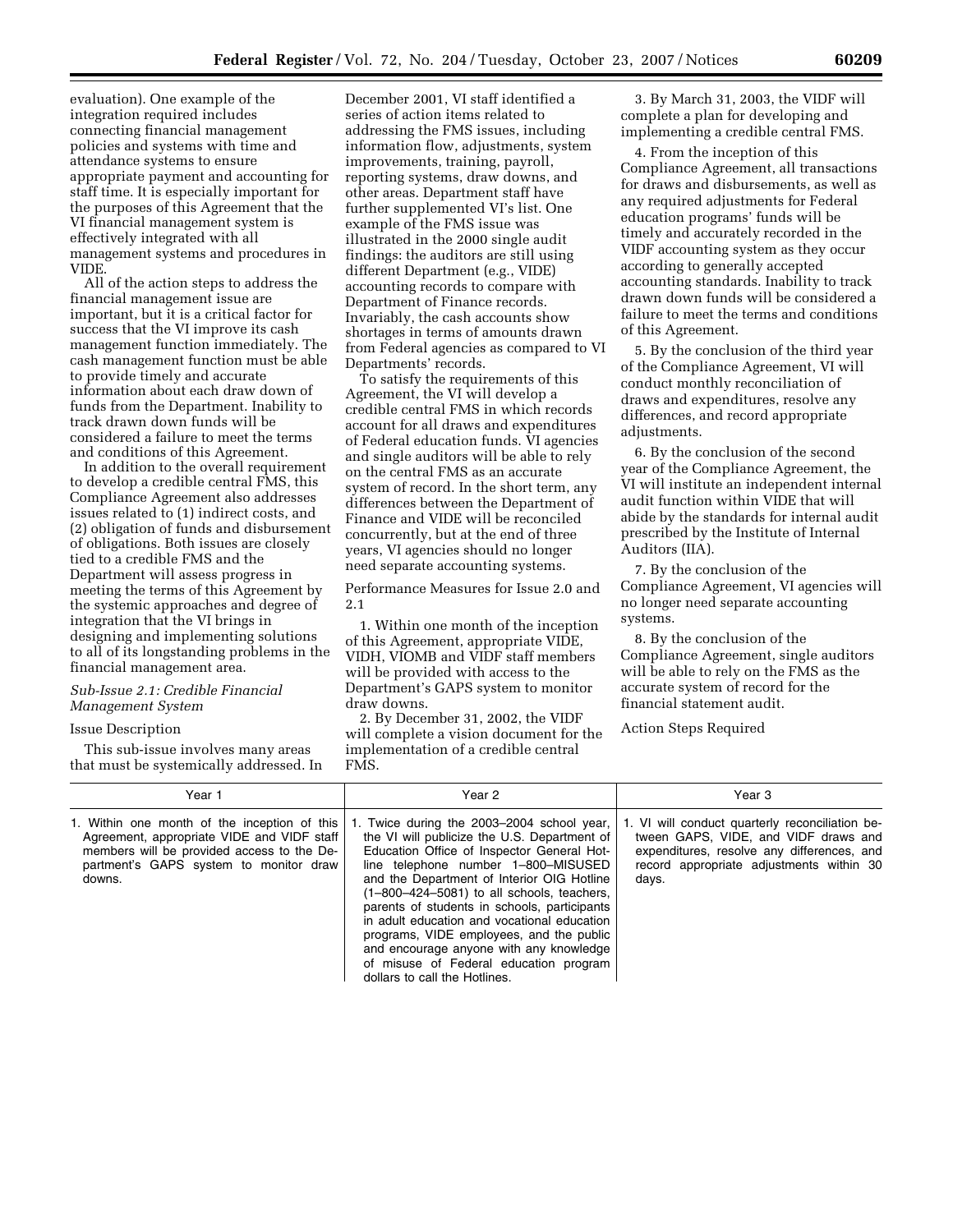evaluation). One example of the integration required includes connecting financial management policies and systems with time and attendance systems to ensure appropriate payment and accounting for staff time. It is especially important for the purposes of this Agreement that the VI financial management system is effectively integrated with all management systems and procedures in VIDE.

All of the action steps to address the financial management issue are important, but it is a critical factor for success that the VI improve its cash management function immediately. The cash management function must be able to provide timely and accurate information about each draw down of funds from the Department. Inability to track drawn down funds will be considered a failure to meet the terms and conditions of this Agreement.

In addition to the overall requirement to develop a credible central FMS, this Compliance Agreement also addresses issues related to (1) indirect costs, and (2) obligation of funds and disbursement of obligations. Both issues are closely tied to a credible FMS and the Department will assess progress in meeting the terms of this Agreement by the systemic approaches and degree of integration that the VI brings in designing and implementing solutions to all of its longstanding problems in the financial management area.

# *Sub-Issue 2.1: Credible Financial Management System*

#### Issue Description

This sub-issue involves many areas that must be systemically addressed. In

December 2001, VI staff identified a series of action items related to addressing the FMS issues, including information flow, adjustments, system improvements, training, payroll, reporting systems, draw downs, and other areas. Department staff have further supplemented VI's list. One example of the FMS issue was illustrated in the 2000 single audit findings: the auditors are still using different Department (e.g., VIDE) accounting records to compare with Department of Finance records. Invariably, the cash accounts show shortages in terms of amounts drawn from Federal agencies as compared to VI Departments' records.

To satisfy the requirements of this Agreement, the VI will develop a credible central FMS in which records account for all draws and expenditures of Federal education funds. VI agencies and single auditors will be able to rely on the central FMS as an accurate system of record. In the short term, any differences between the Department of Finance and VIDE will be reconciled concurrently, but at the end of three years, VI agencies should no longer need separate accounting systems.

Performance Measures for Issue 2.0 and 2.1

1. Within one month of the inception of this Agreement, appropriate VIDE, VIDH, VIOMB and VIDF staff members will be provided with access to the Department's GAPS system to monitor draw downs.

2. By December 31, 2002, the VIDF will complete a vision document for the implementation of a credible central FMS.

3. By March 31, 2003, the VIDF will complete a plan for developing and implementing a credible central FMS.

4. From the inception of this Compliance Agreement, all transactions for draws and disbursements, as well as any required adjustments for Federal education programs' funds will be timely and accurately recorded in the VIDF accounting system as they occur according to generally accepted accounting standards. Inability to track drawn down funds will be considered a failure to meet the terms and conditions of this Agreement.

5. By the conclusion of the third year of the Compliance Agreement, VI will conduct monthly reconciliation of draws and expenditures, resolve any differences, and record appropriate adjustments.

6. By the conclusion of the second year of the Compliance Agreement, the VI will institute an independent internal audit function within VIDE that will abide by the standards for internal audit prescribed by the Institute of Internal Auditors (IIA).

7. By the conclusion of the Compliance Agreement, VI agencies will no longer need separate accounting systems.

8. By the conclusion of the Compliance Agreement, single auditors will be able to rely on the FMS as the accurate system of record for the financial statement audit.

Action Steps Required

| Year 1                                                                                                                                                                                       | Year 2                                                                                                                                                                                                                                                                                                                                                                                                                                                                                                                                         | Year 3                                                                                                                                                                                     |
|----------------------------------------------------------------------------------------------------------------------------------------------------------------------------------------------|------------------------------------------------------------------------------------------------------------------------------------------------------------------------------------------------------------------------------------------------------------------------------------------------------------------------------------------------------------------------------------------------------------------------------------------------------------------------------------------------------------------------------------------------|--------------------------------------------------------------------------------------------------------------------------------------------------------------------------------------------|
| 1. Within one month of the inception of this<br>Agreement, appropriate VIDE and VIDF staff<br>members will be provided access to the De-<br>partment's GAPS system to monitor draw<br>downs. | 1. Twice during the 2003–2004 school year,<br>the VI will publicize the U.S. Department of<br>Education Office of Inspector General Hot-<br>line telephone number 1-800-MISUSED<br>and the Department of Interior OIG Hotline<br>$(1-800-424-5081)$ to all schools, teachers,<br>parents of students in schools, participants<br>in adult education and vocational education<br>programs, VIDE employees, and the public<br>and encourage anyone with any knowledge<br>of misuse of Federal education program<br>dollars to call the Hotlines. | 1. VI will conduct quarterly reconciliation be-<br>tween GAPS, VIDE, and VIDF draws and<br>expenditures, resolve any differences, and<br>record appropriate adjustments within 30<br>days. |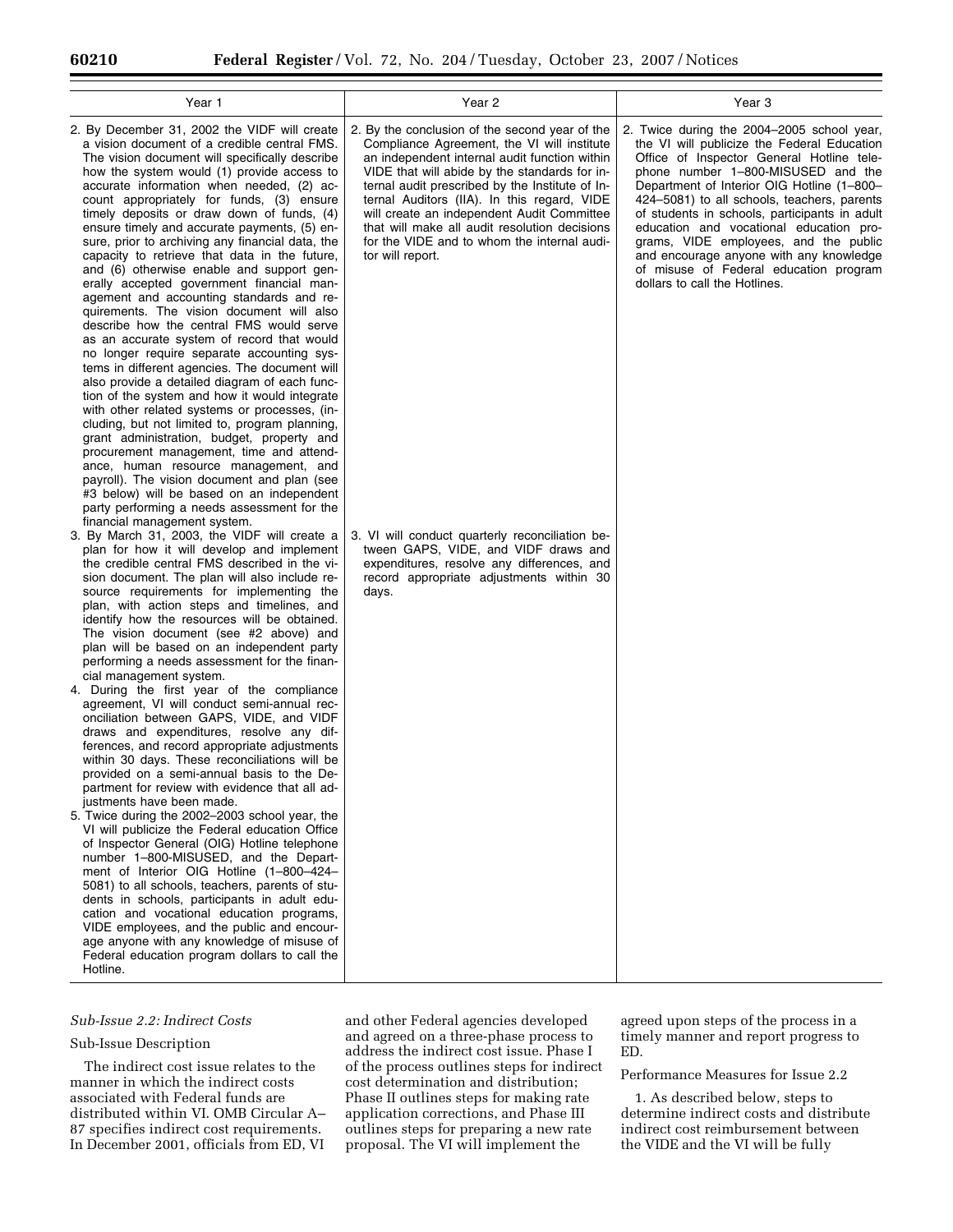| Year 1                                                                                                                                                                                                                                                                                                                                                                                                                                                                                                                                                                                                                                                                                                                                                                                                                                                                                                                                                                                                                                                                                                                                                                                                                                                                                                                                                                                                                                                                                                         | Year 2                                                                                                                                                                                                                                                                                                                                                                                                                                                              | Year 3                                                                                                                                                                                                                                                                                                                                                                                                                                                                                                                               |
|----------------------------------------------------------------------------------------------------------------------------------------------------------------------------------------------------------------------------------------------------------------------------------------------------------------------------------------------------------------------------------------------------------------------------------------------------------------------------------------------------------------------------------------------------------------------------------------------------------------------------------------------------------------------------------------------------------------------------------------------------------------------------------------------------------------------------------------------------------------------------------------------------------------------------------------------------------------------------------------------------------------------------------------------------------------------------------------------------------------------------------------------------------------------------------------------------------------------------------------------------------------------------------------------------------------------------------------------------------------------------------------------------------------------------------------------------------------------------------------------------------------|---------------------------------------------------------------------------------------------------------------------------------------------------------------------------------------------------------------------------------------------------------------------------------------------------------------------------------------------------------------------------------------------------------------------------------------------------------------------|--------------------------------------------------------------------------------------------------------------------------------------------------------------------------------------------------------------------------------------------------------------------------------------------------------------------------------------------------------------------------------------------------------------------------------------------------------------------------------------------------------------------------------------|
| 2. By December 31, 2002 the VIDF will create<br>a vision document of a credible central FMS.<br>The vision document will specifically describe<br>how the system would (1) provide access to<br>accurate information when needed, (2) ac-<br>count appropriately for funds, (3) ensure<br>timely deposits or draw down of funds, (4)<br>ensure timely and accurate payments, (5) en-<br>sure, prior to archiving any financial data, the<br>capacity to retrieve that data in the future,<br>and (6) otherwise enable and support gen-<br>erally accepted government financial man-<br>agement and accounting standards and re-<br>quirements. The vision document will also<br>describe how the central FMS would serve<br>as an accurate system of record that would<br>no longer require separate accounting sys-<br>tems in different agencies. The document will<br>also provide a detailed diagram of each func-<br>tion of the system and how it would integrate<br>with other related systems or processes, (in-<br>cluding, but not limited to, program planning,<br>grant administration, budget, property and<br>procurement management, time and attend-<br>ance, human resource management, and<br>payroll). The vision document and plan (see<br>#3 below) will be based on an independent<br>party performing a needs assessment for the                                                                                                                                                        | 2. By the conclusion of the second year of the<br>Compliance Agreement, the VI will institute<br>an independent internal audit function within<br>VIDE that will abide by the standards for in-<br>ternal audit prescribed by the Institute of In-<br>ternal Auditors (IIA). In this regard, VIDE<br>will create an independent Audit Committee<br>that will make all audit resolution decisions<br>for the VIDE and to whom the internal audi-<br>tor will report. | 2. Twice during the 2004-2005 school year,<br>the VI will publicize the Federal Education<br>Office of Inspector General Hotline tele-<br>phone number 1-800-MISUSED and the<br>Department of Interior OIG Hotline (1-800-<br>424–5081) to all schools, teachers, parents<br>of students in schools, participants in adult<br>education and vocational education pro-<br>grams, VIDE employees, and the public<br>and encourage anyone with any knowledge<br>of misuse of Federal education program<br>dollars to call the Hotlines. |
| financial management system.<br>3. By March 31, 2003, the VIDF will create a<br>plan for how it will develop and implement<br>the credible central FMS described in the vi-<br>sion document. The plan will also include re-<br>source requirements for implementing the<br>plan, with action steps and timelines, and<br>identify how the resources will be obtained.<br>The vision document (see #2 above) and<br>plan will be based on an independent party<br>performing a needs assessment for the finan-<br>cial management system.<br>4. During the first year of the compliance<br>agreement, VI will conduct semi-annual rec-<br>onciliation between GAPS, VIDE, and VIDF<br>draws and expenditures, resolve any dif-<br>ferences, and record appropriate adjustments<br>within 30 days. These reconciliations will be<br>provided on a semi-annual basis to the De-<br>partment for review with evidence that all ad-<br>justments have been made.<br>5. Twice during the 2002-2003 school year, the<br>VI will publicize the Federal education Office<br>of Inspector General (OIG) Hotline telephone<br>number 1-800-MISUSED, and the Depart-<br>ment of Interior OIG Hotline (1-800-424-<br>5081) to all schools, teachers, parents of stu-<br>dents in schools, participants in adult edu-<br>cation and vocational education programs,<br>VIDE employees, and the public and encour-<br>age anyone with any knowledge of misuse of<br>Federal education program dollars to call the<br>Hotline. | 3. VI will conduct quarterly reconciliation be-<br>tween GAPS, VIDE, and VIDF draws and<br>expenditures, resolve any differences, and<br>record appropriate adjustments within 30<br>days.                                                                                                                                                                                                                                                                          |                                                                                                                                                                                                                                                                                                                                                                                                                                                                                                                                      |

# *Sub-Issue 2.2: Indirect Costs*

# Sub-Issue Description

The indirect cost issue relates to the manner in which the indirect costs associated with Federal funds are distributed within VI. OMB Circular A– 87 specifies indirect cost requirements. In December 2001, officials from ED, VI

and other Federal agencies developed and agreed on a three-phase process to address the indirect cost issue. Phase I of the process outlines steps for indirect cost determination and distribution; Phase II outlines steps for making rate application corrections, and Phase III outlines steps for preparing a new rate proposal. The VI will implement the

agreed upon steps of the process in a timely manner and report progress to ED.

## Performance Measures for Issue 2.2

1. As described below, steps to determine indirect costs and distribute indirect cost reimbursement between the VIDE and the VI will be fully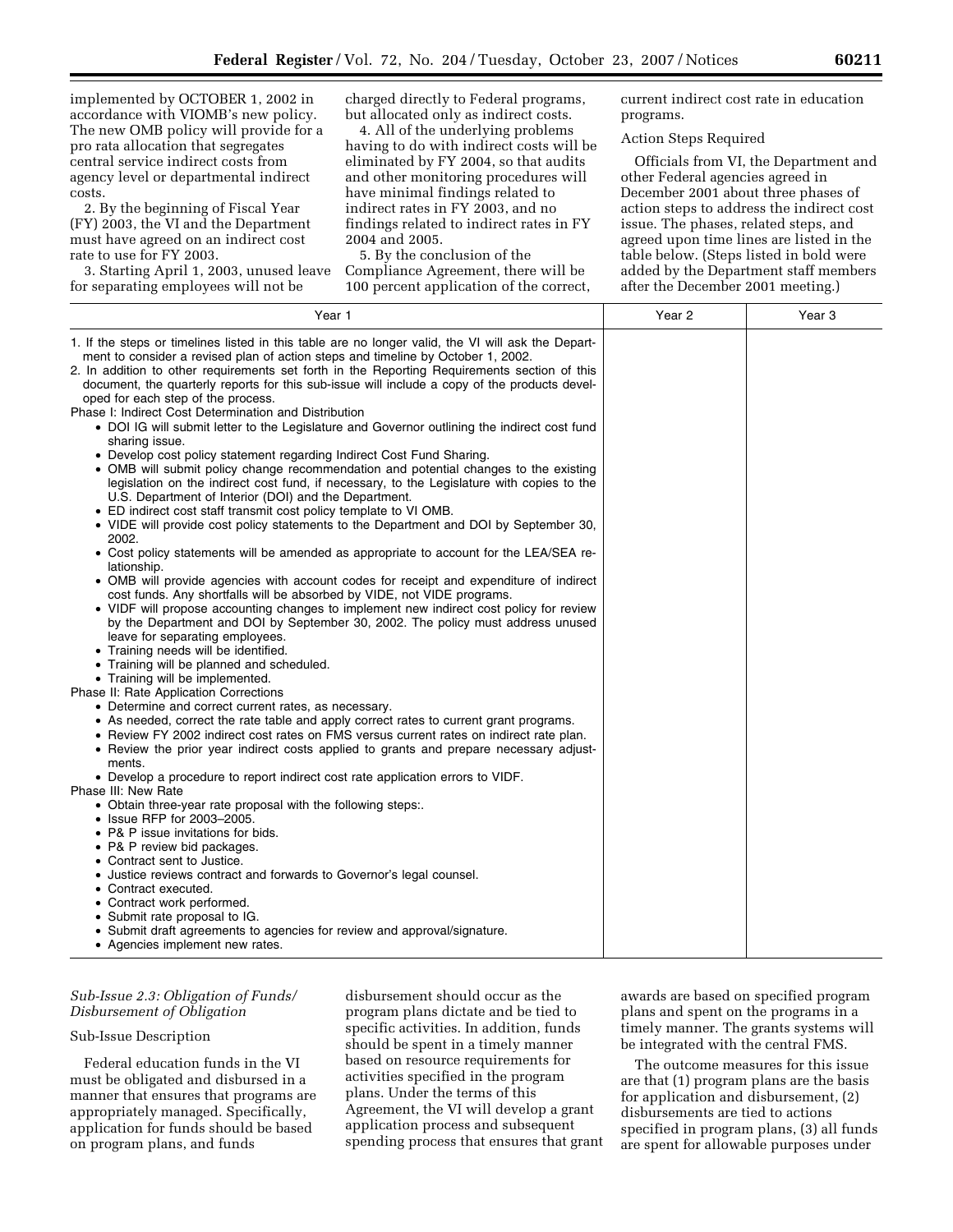implemented by OCTOBER 1, 2002 in accordance with VIOMB's new policy. The new OMB policy will provide for a pro rata allocation that segregates central service indirect costs from agency level or departmental indirect costs.

2. By the beginning of Fiscal Year (FY) 2003, the VI and the Department must have agreed on an indirect cost rate to use for FY 2003.

3. Starting April 1, 2003, unused leave for separating employees will not be

charged directly to Federal programs, but allocated only as indirect costs.

4. All of the underlying problems having to do with indirect costs will be eliminated by FY 2004, so that audits and other monitoring procedures will have minimal findings related to indirect rates in FY 2003, and no findings related to indirect rates in FY 2004 and 2005.

5. By the conclusion of the Compliance Agreement, there will be 100 percent application of the correct, current indirect cost rate in education programs.

### Action Steps Required

Officials from VI, the Department and other Federal agencies agreed in December 2001 about three phases of action steps to address the indirect cost issue. The phases, related steps, and agreed upon time lines are listed in the table below. (Steps listed in bold were added by the Department staff members after the December 2001 meeting.)

| Year 1                                                                                                                                                                                                                                                                                                                                                                                                                                                                                                                                                                                                                                                                                                                                                                                                                                                                                                                                                                                                                                                                                                                                                                                                                                                                                                                                                                                                                                                                                                                                                                                                                                                                                                                                                                                                                                                                                                                                                                                                                                                                                                                                                                                                                                                                                             | Year 2 | Year 3 |
|----------------------------------------------------------------------------------------------------------------------------------------------------------------------------------------------------------------------------------------------------------------------------------------------------------------------------------------------------------------------------------------------------------------------------------------------------------------------------------------------------------------------------------------------------------------------------------------------------------------------------------------------------------------------------------------------------------------------------------------------------------------------------------------------------------------------------------------------------------------------------------------------------------------------------------------------------------------------------------------------------------------------------------------------------------------------------------------------------------------------------------------------------------------------------------------------------------------------------------------------------------------------------------------------------------------------------------------------------------------------------------------------------------------------------------------------------------------------------------------------------------------------------------------------------------------------------------------------------------------------------------------------------------------------------------------------------------------------------------------------------------------------------------------------------------------------------------------------------------------------------------------------------------------------------------------------------------------------------------------------------------------------------------------------------------------------------------------------------------------------------------------------------------------------------------------------------------------------------------------------------------------------------------------------------|--------|--------|
| 1. If the steps or timelines listed in this table are no longer valid, the VI will ask the Depart-<br>ment to consider a revised plan of action steps and timeline by October 1, 2002.<br>2. In addition to other requirements set forth in the Reporting Requirements section of this<br>document, the quarterly reports for this sub-issue will include a copy of the products devel-<br>oped for each step of the process.<br>Phase I: Indirect Cost Determination and Distribution<br>• DOI IG will submit letter to the Legislature and Governor outlining the indirect cost fund<br>sharing issue.<br>• Develop cost policy statement regarding Indirect Cost Fund Sharing.<br>• OMB will submit policy change recommendation and potential changes to the existing<br>legislation on the indirect cost fund, if necessary, to the Legislature with copies to the<br>U.S. Department of Interior (DOI) and the Department.<br>• ED indirect cost staff transmit cost policy template to VI OMB.<br>. VIDE will provide cost policy statements to the Department and DOI by September 30,<br>2002.<br>• Cost policy statements will be amended as appropriate to account for the LEA/SEA re-<br>lationship.<br>• OMB will provide agencies with account codes for receipt and expenditure of indirect<br>cost funds. Any shortfalls will be absorbed by VIDE, not VIDE programs.<br>• VIDF will propose accounting changes to implement new indirect cost policy for review<br>by the Department and DOI by September 30, 2002. The policy must address unused<br>leave for separating employees.<br>• Training needs will be identified.<br>• Training will be planned and scheduled.<br>• Training will be implemented.<br>Phase II: Rate Application Corrections<br>• Determine and correct current rates, as necessary.<br>• As needed, correct the rate table and apply correct rates to current grant programs.<br>• Review FY 2002 indirect cost rates on FMS versus current rates on indirect rate plan.<br>• Review the prior year indirect costs applied to grants and prepare necessary adjust-<br>ments.<br>• Develop a procedure to report indirect cost rate application errors to VIDF.<br>Phase III: New Rate<br>• Obtain three-year rate proposal with the following steps:. |        |        |
| • Issue RFP for 2003-2005.<br>• P& P issue invitations for bids.<br>• P& P review bid packages.                                                                                                                                                                                                                                                                                                                                                                                                                                                                                                                                                                                                                                                                                                                                                                                                                                                                                                                                                                                                                                                                                                                                                                                                                                                                                                                                                                                                                                                                                                                                                                                                                                                                                                                                                                                                                                                                                                                                                                                                                                                                                                                                                                                                    |        |        |
| • Contract sent to Justice.<br>• Justice reviews contract and forwards to Governor's legal counsel.<br>• Contract executed.<br>• Contract work performed.<br>• Submit rate proposal to IG.                                                                                                                                                                                                                                                                                                                                                                                                                                                                                                                                                                                                                                                                                                                                                                                                                                                                                                                                                                                                                                                                                                                                                                                                                                                                                                                                                                                                                                                                                                                                                                                                                                                                                                                                                                                                                                                                                                                                                                                                                                                                                                         |        |        |
| • Submit draft agreements to agencies for review and approval/signature.<br>• Agencies implement new rates.                                                                                                                                                                                                                                                                                                                                                                                                                                                                                                                                                                                                                                                                                                                                                                                                                                                                                                                                                                                                                                                                                                                                                                                                                                                                                                                                                                                                                                                                                                                                                                                                                                                                                                                                                                                                                                                                                                                                                                                                                                                                                                                                                                                        |        |        |

# *Sub-Issue 2.3: Obligation of Funds/ Disbursement of Obligation*

#### Sub-Issue Description

Federal education funds in the VI must be obligated and disbursed in a manner that ensures that programs are appropriately managed. Specifically, application for funds should be based on program plans, and funds

disbursement should occur as the program plans dictate and be tied to specific activities. In addition, funds should be spent in a timely manner based on resource requirements for activities specified in the program plans. Under the terms of this Agreement, the VI will develop a grant application process and subsequent spending process that ensures that grant awards are based on specified program plans and spent on the programs in a timely manner. The grants systems will be integrated with the central FMS.

The outcome measures for this issue are that (1) program plans are the basis for application and disbursement, (2) disbursements are tied to actions specified in program plans, (3) all funds are spent for allowable purposes under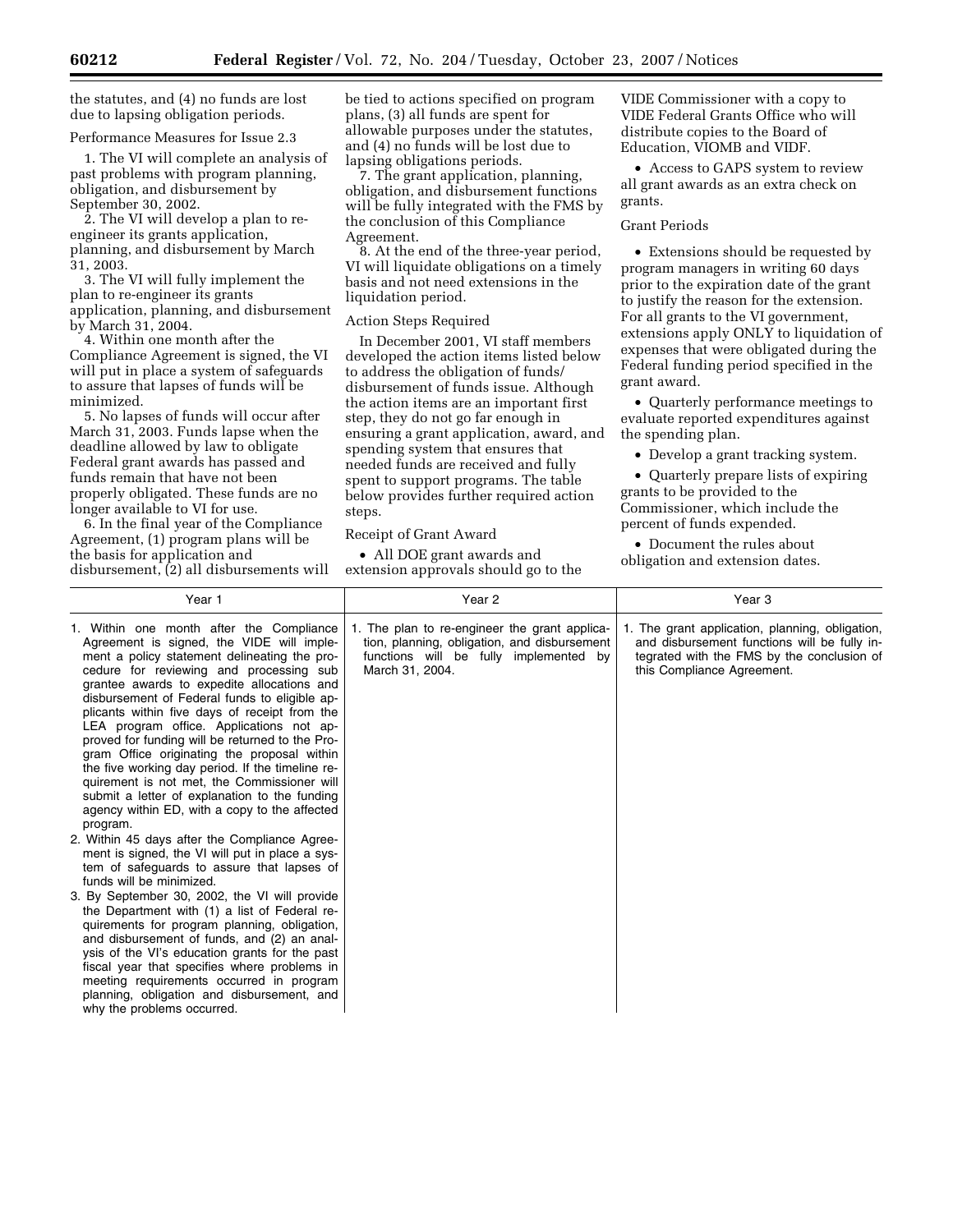the statutes, and (4) no funds are lost due to lapsing obligation periods.

Performance Measures for Issue 2.3

1. The VI will complete an analysis of past problems with program planning, obligation, and disbursement by September 30, 2002.

2. The VI will develop a plan to reengineer its grants application, planning, and disbursement by March 31, 2003.

3. The VI will fully implement the plan to re-engineer its grants application, planning, and disbursement by March 31, 2004.

4. Within one month after the Compliance Agreement is signed, the VI will put in place a system of safeguards to assure that lapses of funds will be minimized.

5. No lapses of funds will occur after March 31, 2003. Funds lapse when the deadline allowed by law to obligate Federal grant awards has passed and funds remain that have not been properly obligated. These funds are no longer available to VI for use.

6. In the final year of the Compliance Agreement, (1) program plans will be the basis for application and disbursement, (2) all disbursements will be tied to actions specified on program plans, (3) all funds are spent for allowable purposes under the statutes, and (4) no funds will be lost due to lapsing obligations periods.

7. The grant application, planning, obligation, and disbursement functions will be fully integrated with the FMS by the conclusion of this Compliance Agreement.

8. At the end of the three-year period, VI will liquidate obligations on a timely basis and not need extensions in the liquidation period.

#### Action Steps Required

In December 2001, VI staff members developed the action items listed below to address the obligation of funds/ disbursement of funds issue. Although the action items are an important first step, they do not go far enough in ensuring a grant application, award, and spending system that ensures that needed funds are received and fully spent to support programs. The table below provides further required action steps.

Receipt of Grant Award

• All DOE grant awards and extension approvals should go to the

VIDE Commissioner with a copy to VIDE Federal Grants Office who will distribute copies to the Board of Education, VIOMB and VIDF.

• Access to GAPS system to review all grant awards as an extra check on grants.

#### Grant Periods

• Extensions should be requested by program managers in writing 60 days prior to the expiration date of the grant to justify the reason for the extension. For all grants to the VI government, extensions apply ONLY to liquidation of expenses that were obligated during the Federal funding period specified in the grant award.

• Quarterly performance meetings to evaluate reported expenditures against the spending plan.

• Develop a grant tracking system.

• Quarterly prepare lists of expiring grants to be provided to the Commissioner, which include the percent of funds expended.

• Document the rules about obligation and extension dates.

| Year 1                                                                                                                                                                                                                                                                                                                                                                                                                                                                                                                                                                                                                                                                                                                                                                                                                                                                                                                                                                                                                                                                                                                                                                                                                                                                                                   | Year 2                                                                                                                                                     | Year <sub>3</sub>                                                                                                                                                           |
|----------------------------------------------------------------------------------------------------------------------------------------------------------------------------------------------------------------------------------------------------------------------------------------------------------------------------------------------------------------------------------------------------------------------------------------------------------------------------------------------------------------------------------------------------------------------------------------------------------------------------------------------------------------------------------------------------------------------------------------------------------------------------------------------------------------------------------------------------------------------------------------------------------------------------------------------------------------------------------------------------------------------------------------------------------------------------------------------------------------------------------------------------------------------------------------------------------------------------------------------------------------------------------------------------------|------------------------------------------------------------------------------------------------------------------------------------------------------------|-----------------------------------------------------------------------------------------------------------------------------------------------------------------------------|
| 1. Within one month after the Compliance<br>Agreement is signed, the VIDE will imple-<br>ment a policy statement delineating the pro-<br>cedure for reviewing and processing sub<br>grantee awards to expedite allocations and<br>disbursement of Federal funds to eligible ap-<br>plicants within five days of receipt from the<br>LEA program office. Applications not ap-<br>proved for funding will be returned to the Pro-<br>gram Office originating the proposal within<br>the five working day period. If the timeline re-<br>quirement is not met, the Commissioner will<br>submit a letter of explanation to the funding<br>agency within ED, with a copy to the affected<br>program.<br>2. Within 45 days after the Compliance Agree-<br>ment is signed, the VI will put in place a sys-<br>tem of safeguards to assure that lapses of<br>funds will be minimized.<br>3. By September 30, 2002, the VI will provide<br>the Department with (1) a list of Federal re-<br>quirements for program planning, obligation,<br>and disbursement of funds, and (2) an anal-<br>ysis of the VI's education grants for the past<br>fiscal year that specifies where problems in<br>meeting requirements occurred in program<br>planning, obligation and disbursement, and<br>why the problems occurred. | 1. The plan to re-engineer the grant applica-<br>tion, planning, obligation, and disbursement<br>functions will be fully implemented by<br>March 31, 2004. | 1. The grant application, planning, obligation,<br>and disbursement functions will be fully in-<br>tegrated with the FMS by the conclusion of<br>this Compliance Agreement. |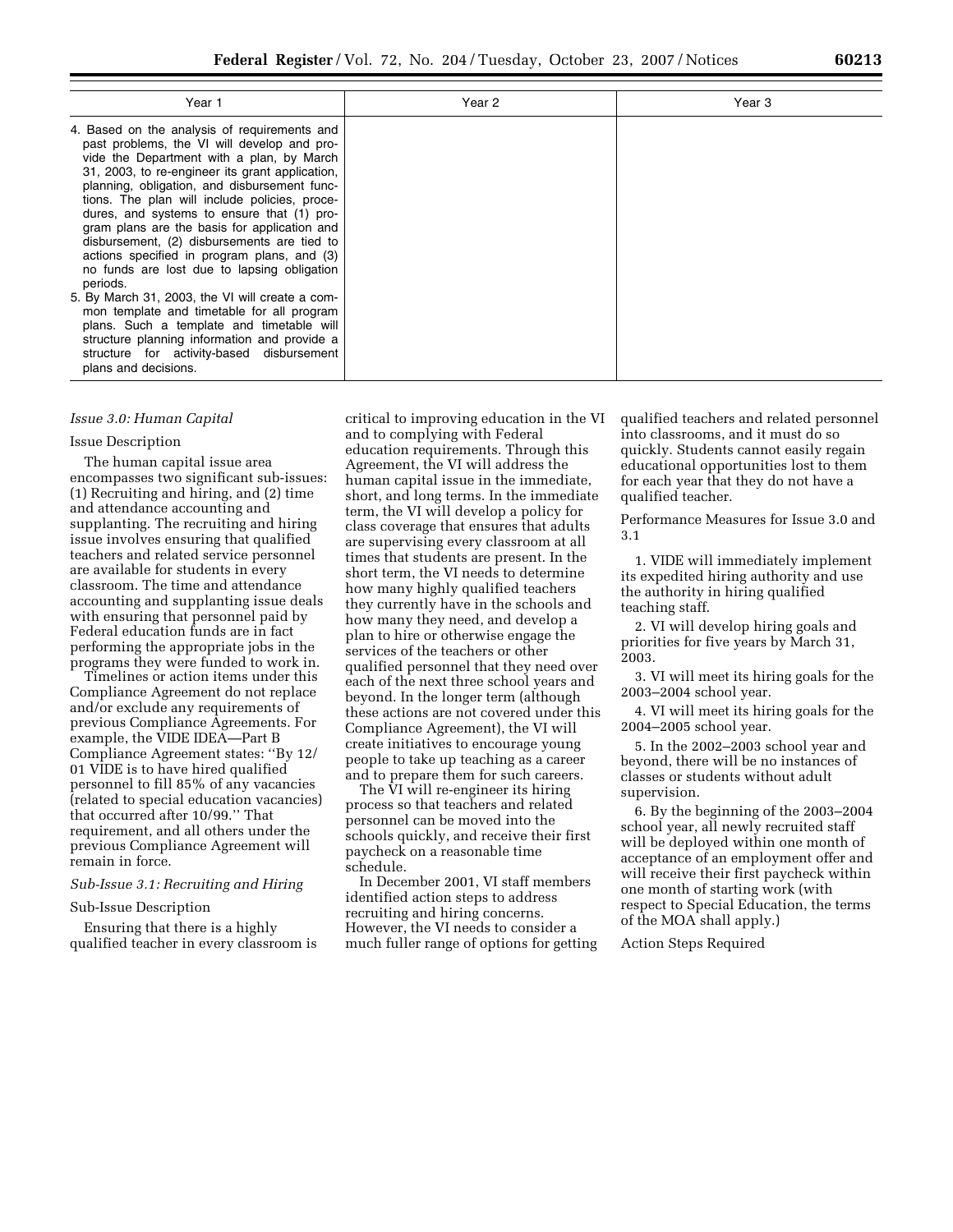| Year 1                                                                                                                                                                                                                                                                                                                                                                                                                                                                                                                                                                                                                                                                                                                                                                                                                 | Year 2 | Year 3 |
|------------------------------------------------------------------------------------------------------------------------------------------------------------------------------------------------------------------------------------------------------------------------------------------------------------------------------------------------------------------------------------------------------------------------------------------------------------------------------------------------------------------------------------------------------------------------------------------------------------------------------------------------------------------------------------------------------------------------------------------------------------------------------------------------------------------------|--------|--------|
| 4. Based on the analysis of requirements and<br>past problems, the VI will develop and pro-<br>vide the Department with a plan, by March<br>31, 2003, to re-engineer its grant application,<br>planning, obligation, and disbursement func-<br>tions. The plan will include policies, proce-<br>dures, and systems to ensure that (1) pro-<br>gram plans are the basis for application and<br>disbursement, (2) disbursements are tied to<br>actions specified in program plans, and (3)<br>no funds are lost due to lapsing obligation<br>periods.<br>5. By March 31, 2003, the VI will create a com-<br>mon template and timetable for all program<br>plans. Such a template and timetable will<br>structure planning information and provide a<br>structure for activity-based disbursement<br>plans and decisions. |        |        |

### *Issue 3.0: Human Capital*

### Issue Description

The human capital issue area encompasses two significant sub-issues: (1) Recruiting and hiring, and (2) time and attendance accounting and supplanting. The recruiting and hiring issue involves ensuring that qualified teachers and related service personnel are available for students in every classroom. The time and attendance accounting and supplanting issue deals with ensuring that personnel paid by Federal education funds are in fact performing the appropriate jobs in the programs they were funded to work in.

Timelines or action items under this Compliance Agreement do not replace and/or exclude any requirements of previous Compliance Agreements. For example, the VIDE IDEA—Part B Compliance Agreement states: ''By 12/ 01 VIDE is to have hired qualified personnel to fill 85% of any vacancies (related to special education vacancies) that occurred after 10/99.'' That requirement, and all others under the previous Compliance Agreement will remain in force.

### *Sub-Issue 3.1: Recruiting and Hiring*

# Sub-Issue Description

Ensuring that there is a highly qualified teacher in every classroom is critical to improving education in the VI and to complying with Federal education requirements. Through this Agreement, the VI will address the human capital issue in the immediate, short, and long terms. In the immediate term, the VI will develop a policy for class coverage that ensures that adults are supervising every classroom at all times that students are present. In the short term, the VI needs to determine how many highly qualified teachers they currently have in the schools and how many they need, and develop a plan to hire or otherwise engage the services of the teachers or other qualified personnel that they need over each of the next three school years and beyond. In the longer term (although these actions are not covered under this Compliance Agreement), the VI will create initiatives to encourage young people to take up teaching as a career and to prepare them for such careers.

The VI will re-engineer its hiring process so that teachers and related personnel can be moved into the schools quickly, and receive their first paycheck on a reasonable time schedule.

In December 2001, VI staff members identified action steps to address recruiting and hiring concerns. However, the VI needs to consider a much fuller range of options for getting qualified teachers and related personnel into classrooms, and it must do so quickly. Students cannot easily regain educational opportunities lost to them for each year that they do not have a qualified teacher.

Performance Measures for Issue 3.0 and 3.1

1. VIDE will immediately implement its expedited hiring authority and use the authority in hiring qualified teaching staff.

2. VI will develop hiring goals and priorities for five years by March 31, 2003.

3. VI will meet its hiring goals for the 2003–2004 school year.

4. VI will meet its hiring goals for the 2004–2005 school year.

5. In the 2002–2003 school year and beyond, there will be no instances of classes or students without adult supervision.

6. By the beginning of the 2003–2004 school year, all newly recruited staff will be deployed within one month of acceptance of an employment offer and will receive their first paycheck within one month of starting work (with respect to Special Education, the terms of the MOA shall apply.)

Action Steps Required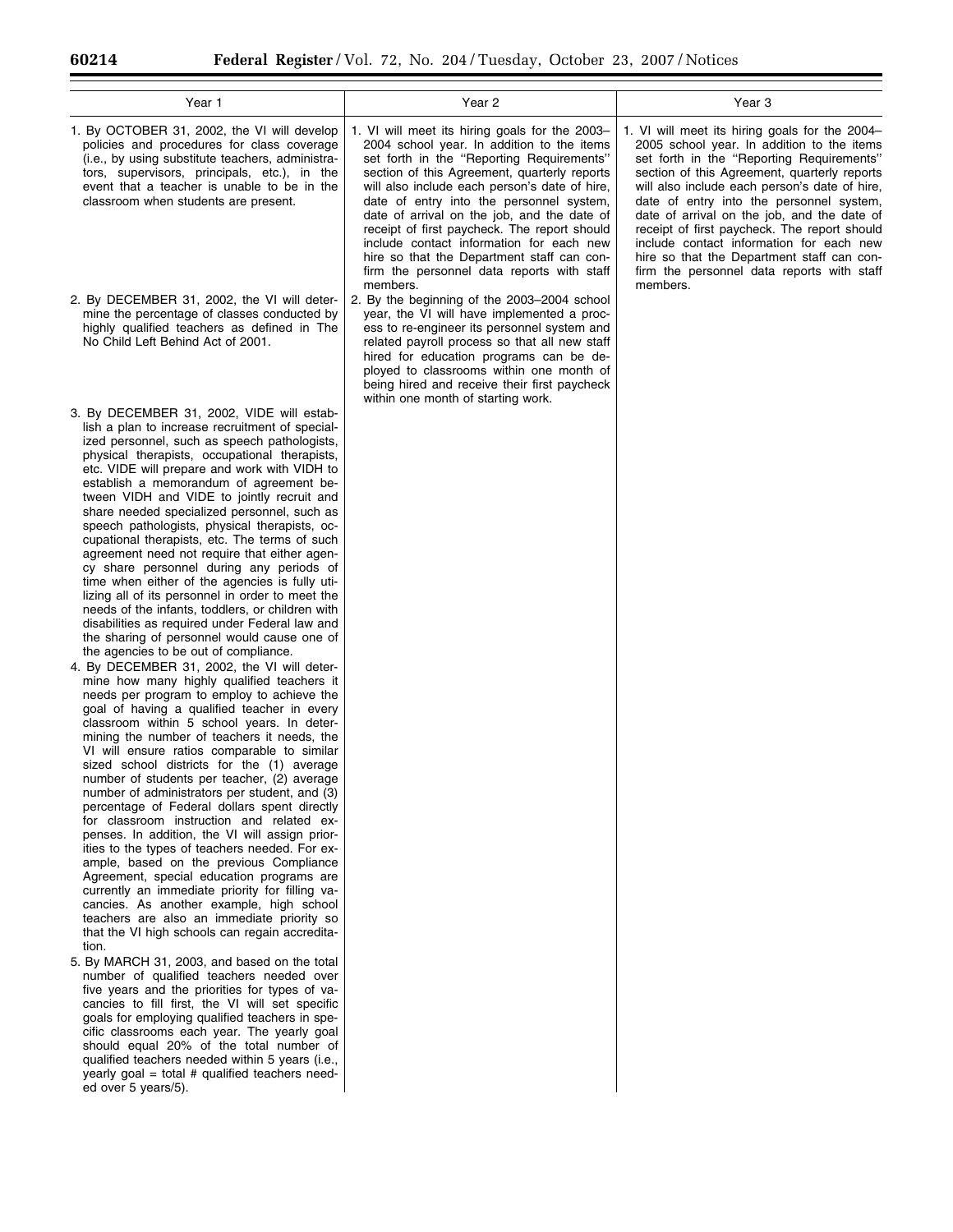$\equiv$ 

| Year 1                                                                                                                                                                                                                                                                                                                                                                                                                                                                                                                                                                                                                                                                                                                                                                                                                                                                                                                                                                                                                                                                                                                                                                                                                                                                                                                                                                                                                                                                                                                                                                                                                                                                                                                                                                                                                                                                                                                                                                                                                                                                                                                                                                                                                                                                                                                                                | Year 2                                                                                                                                                                                                                                                                                                                                                                                                                                                                                                                                    | Year 3                                                                                                                                                                                                                                                                                                                                                                                                                                                                                                                                    |
|-------------------------------------------------------------------------------------------------------------------------------------------------------------------------------------------------------------------------------------------------------------------------------------------------------------------------------------------------------------------------------------------------------------------------------------------------------------------------------------------------------------------------------------------------------------------------------------------------------------------------------------------------------------------------------------------------------------------------------------------------------------------------------------------------------------------------------------------------------------------------------------------------------------------------------------------------------------------------------------------------------------------------------------------------------------------------------------------------------------------------------------------------------------------------------------------------------------------------------------------------------------------------------------------------------------------------------------------------------------------------------------------------------------------------------------------------------------------------------------------------------------------------------------------------------------------------------------------------------------------------------------------------------------------------------------------------------------------------------------------------------------------------------------------------------------------------------------------------------------------------------------------------------------------------------------------------------------------------------------------------------------------------------------------------------------------------------------------------------------------------------------------------------------------------------------------------------------------------------------------------------------------------------------------------------------------------------------------------------|-------------------------------------------------------------------------------------------------------------------------------------------------------------------------------------------------------------------------------------------------------------------------------------------------------------------------------------------------------------------------------------------------------------------------------------------------------------------------------------------------------------------------------------------|-------------------------------------------------------------------------------------------------------------------------------------------------------------------------------------------------------------------------------------------------------------------------------------------------------------------------------------------------------------------------------------------------------------------------------------------------------------------------------------------------------------------------------------------|
| 1. By OCTOBER 31, 2002, the VI will develop<br>policies and procedures for class coverage<br>(i.e., by using substitute teachers, administra-<br>tors, supervisors, principals, etc.), in the<br>event that a teacher is unable to be in the<br>classroom when students are present.                                                                                                                                                                                                                                                                                                                                                                                                                                                                                                                                                                                                                                                                                                                                                                                                                                                                                                                                                                                                                                                                                                                                                                                                                                                                                                                                                                                                                                                                                                                                                                                                                                                                                                                                                                                                                                                                                                                                                                                                                                                                  | 1. VI will meet its hiring goals for the 2003-<br>2004 school year. In addition to the items<br>set forth in the "Reporting Requirements"<br>section of this Agreement, quarterly reports<br>will also include each person's date of hire,<br>date of entry into the personnel system,<br>date of arrival on the job, and the date of<br>receipt of first paycheck. The report should<br>include contact information for each new<br>hire so that the Department staff can con-<br>firm the personnel data reports with staff<br>members. | 1. VI will meet its hiring goals for the 2004-<br>2005 school year. In addition to the items<br>set forth in the "Reporting Requirements"<br>section of this Agreement, quarterly reports<br>will also include each person's date of hire,<br>date of entry into the personnel system,<br>date of arrival on the job, and the date of<br>receipt of first paycheck. The report should<br>include contact information for each new<br>hire so that the Department staff can con-<br>firm the personnel data reports with staff<br>members. |
| 2. By DECEMBER 31, 2002, the VI will deter-<br>mine the percentage of classes conducted by<br>highly qualified teachers as defined in The<br>No Child Left Behind Act of 2001.                                                                                                                                                                                                                                                                                                                                                                                                                                                                                                                                                                                                                                                                                                                                                                                                                                                                                                                                                                                                                                                                                                                                                                                                                                                                                                                                                                                                                                                                                                                                                                                                                                                                                                                                                                                                                                                                                                                                                                                                                                                                                                                                                                        | 2. By the beginning of the 2003-2004 school<br>year, the VI will have implemented a proc-<br>ess to re-engineer its personnel system and<br>related payroll process so that all new staff<br>hired for education programs can be de-<br>ployed to classrooms within one month of<br>being hired and receive their first paycheck<br>within one month of starting work.                                                                                                                                                                    |                                                                                                                                                                                                                                                                                                                                                                                                                                                                                                                                           |
| 3. By DECEMBER 31, 2002, VIDE will estab-<br>lish a plan to increase recruitment of special-<br>ized personnel, such as speech pathologists,<br>physical therapists, occupational therapists,<br>etc. VIDE will prepare and work with VIDH to<br>establish a memorandum of agreement be-<br>tween VIDH and VIDE to jointly recruit and<br>share needed specialized personnel, such as<br>speech pathologists, physical therapists, oc-<br>cupational therapists, etc. The terms of such<br>agreement need not require that either agen-<br>cy share personnel during any periods of<br>time when either of the agencies is fully uti-<br>lizing all of its personnel in order to meet the<br>needs of the infants, toddlers, or children with<br>disabilities as required under Federal law and<br>the sharing of personnel would cause one of<br>the agencies to be out of compliance.<br>4. By DECEMBER 31, 2002, the VI will deter-<br>mine how many highly qualified teachers it<br>needs per program to employ to achieve the<br>goal of having a qualified teacher in every<br>classroom within 5 school years. In deter-<br>mining the number of teachers it needs, the<br>VI will ensure ratios comparable to similar<br>sized school districts for the (1) average<br>number of students per teacher, (2) average<br>number of administrators per student, and (3)<br>percentage of Federal dollars spent directly<br>for classroom instruction and related ex-<br>penses. In addition, the VI will assign prior-<br>ities to the types of teachers needed. For ex-<br>ample, based on the previous Compliance<br>Agreement, special education programs are<br>currently an immediate priority for filling va-<br>cancies. As another example, high school<br>teachers are also an immediate priority so<br>that the VI high schools can regain accredita-<br>tion.<br>5. By MARCH 31, 2003, and based on the total<br>number of qualified teachers needed over<br>five years and the priorities for types of va-<br>cancies to fill first, the VI will set specific<br>goals for employing qualified teachers in spe-<br>cific classrooms each year. The yearly goal<br>should equal 20% of the total number of<br>qualified teachers needed within 5 years (i.e.,<br>yearly goal = total # qualified teachers need-<br>ed over 5 years/5). |                                                                                                                                                                                                                                                                                                                                                                                                                                                                                                                                           |                                                                                                                                                                                                                                                                                                                                                                                                                                                                                                                                           |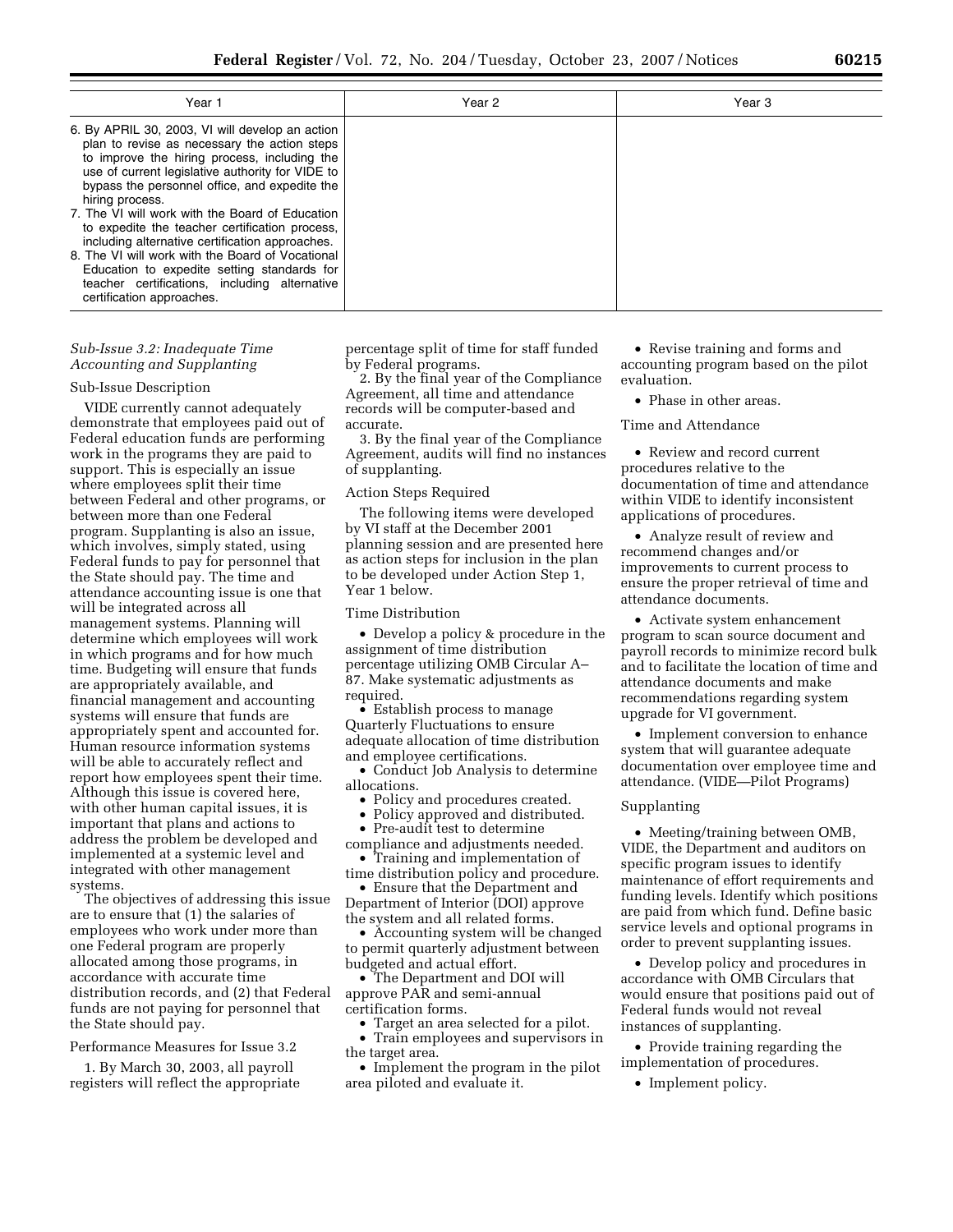| Year 1                                                                                                                                                                                                                                                                                                                                                                                                                                                                                                                                                                                                           | Year 2 | Year <sub>3</sub> |
|------------------------------------------------------------------------------------------------------------------------------------------------------------------------------------------------------------------------------------------------------------------------------------------------------------------------------------------------------------------------------------------------------------------------------------------------------------------------------------------------------------------------------------------------------------------------------------------------------------------|--------|-------------------|
| 6. By APRIL 30, 2003, VI will develop an action<br>plan to revise as necessary the action steps<br>to improve the hiring process, including the<br>use of current legislative authority for VIDE to<br>bypass the personnel office, and expedite the<br>hiring process.<br>7. The VI will work with the Board of Education<br>to expedite the teacher certification process,<br>including alternative certification approaches.<br>8. The VI will work with the Board of Vocational<br>Education to expedite setting standards for<br>teacher certifications, including alternative<br>certification approaches. |        |                   |
|                                                                                                                                                                                                                                                                                                                                                                                                                                                                                                                                                                                                                  |        |                   |

# *Sub-Issue 3.2: Inadequate Time Accounting and Supplanting*

### Sub-Issue Description

VIDE currently cannot adequately demonstrate that employees paid out of Federal education funds are performing work in the programs they are paid to support. This is especially an issue where employees split their time between Federal and other programs, or between more than one Federal program. Supplanting is also an issue, which involves, simply stated, using Federal funds to pay for personnel that the State should pay. The time and attendance accounting issue is one that will be integrated across all management systems. Planning will determine which employees will work in which programs and for how much time. Budgeting will ensure that funds are appropriately available, and financial management and accounting systems will ensure that funds are appropriately spent and accounted for. Human resource information systems will be able to accurately reflect and report how employees spent their time. Although this issue is covered here, with other human capital issues, it is important that plans and actions to address the problem be developed and implemented at a systemic level and integrated with other management systems.

The objectives of addressing this issue are to ensure that (1) the salaries of employees who work under more than one Federal program are properly allocated among those programs, in accordance with accurate time distribution records, and (2) that Federal funds are not paying for personnel that the State should pay.

Performance Measures for Issue 3.2

1. By March 30, 2003, all payroll registers will reflect the appropriate percentage split of time for staff funded by Federal programs.

2. By the final year of the Compliance Agreement, all time and attendance records will be computer-based and accurate.

3. By the final year of the Compliance Agreement, audits will find no instances of supplanting.

### Action Steps Required

The following items were developed by VI staff at the December 2001 planning session and are presented here as action steps for inclusion in the plan to be developed under Action Step 1, Year 1 below.

### Time Distribution

• Develop a policy & procedure in the assignment of time distribution percentage utilizing OMB Circular A– 87. Make systematic adjustments as required.

• Establish process to manage Quarterly Fluctuations to ensure adequate allocation of time distribution and employee certifications.

• Conduct Job Analysis to determine allocations.

• Policy and procedures created.

• Policy approved and distributed.

Pre-audit test to determine

compliance and adjustments needed. • Training and implementation of

time distribution policy and procedure. • Ensure that the Department and

Department of Interior (DOI) approve the system and all related forms.

• Accounting system will be changed to permit quarterly adjustment between budgeted and actual effort.

• The Department and DOI will approve PAR and semi-annual certification forms.

• Target an area selected for a pilot. • Train employees and supervisors in the target area.

• Implement the program in the pilot area piloted and evaluate it.

• Revise training and forms and accounting program based on the pilot evaluation.

• Phase in other areas.

### Time and Attendance

• Review and record current procedures relative to the documentation of time and attendance within VIDE to identify inconsistent applications of procedures.

• Analyze result of review and recommend changes and/or improvements to current process to ensure the proper retrieval of time and attendance documents.

• Activate system enhancement program to scan source document and payroll records to minimize record bulk and to facilitate the location of time and attendance documents and make recommendations regarding system upgrade for VI government.

• Implement conversion to enhance system that will guarantee adequate documentation over employee time and attendance. (VIDE—Pilot Programs)

#### Supplanting

• Meeting/training between OMB, VIDE, the Department and auditors on specific program issues to identify maintenance of effort requirements and funding levels. Identify which positions are paid from which fund. Define basic service levels and optional programs in order to prevent supplanting issues.

• Develop policy and procedures in accordance with OMB Circulars that would ensure that positions paid out of Federal funds would not reveal instances of supplanting.

• Provide training regarding the implementation of procedures.

• Implement policy.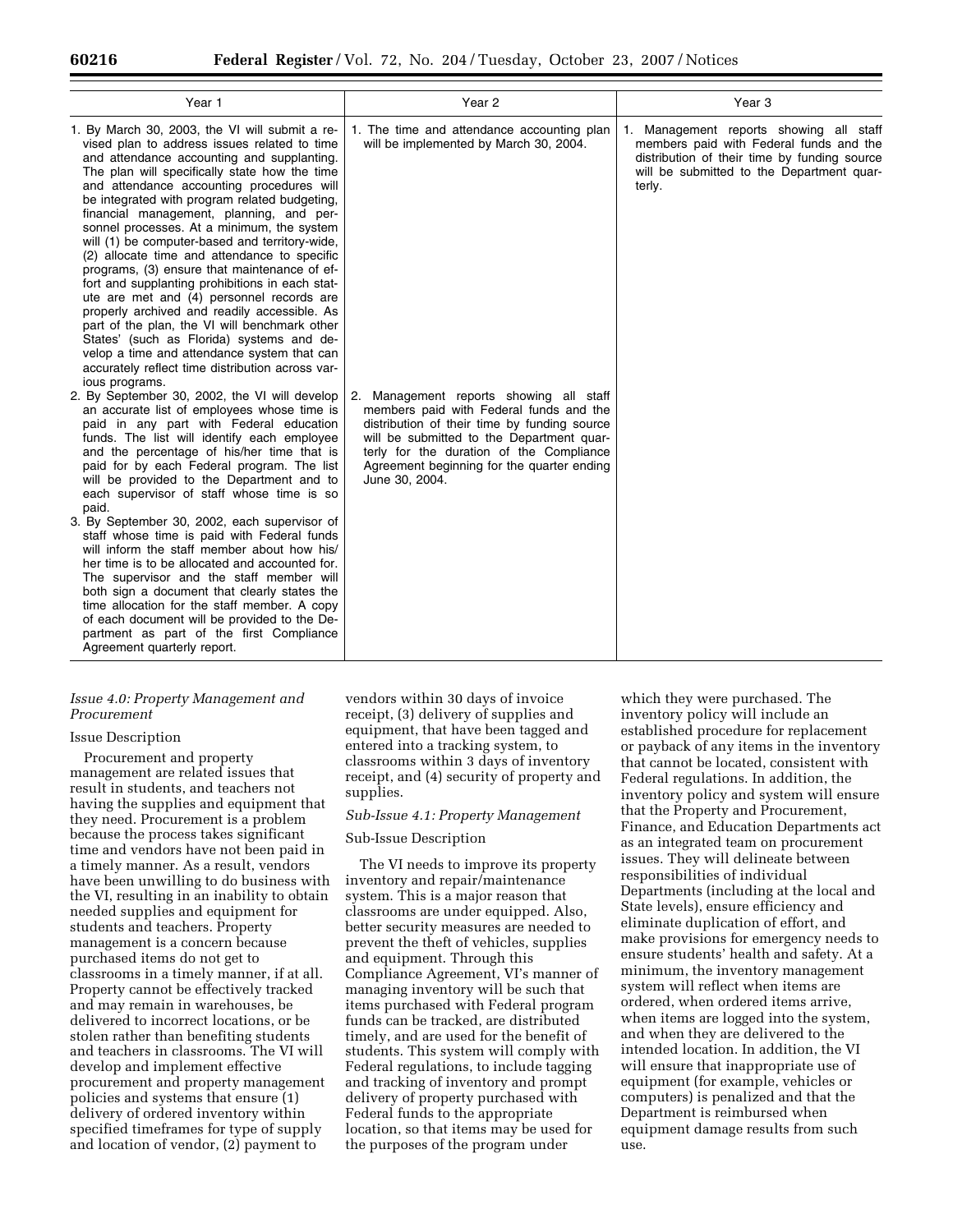| Year 1                                                                                                                                                                                                                                                                                                                                                                                                                                                                                                                                                                                                                                                                                                                                                                                                                                                                                                     | Year 2                                                                                                                                                                                                                                                                                      | Year 3                                                                                                                                                                                    |
|------------------------------------------------------------------------------------------------------------------------------------------------------------------------------------------------------------------------------------------------------------------------------------------------------------------------------------------------------------------------------------------------------------------------------------------------------------------------------------------------------------------------------------------------------------------------------------------------------------------------------------------------------------------------------------------------------------------------------------------------------------------------------------------------------------------------------------------------------------------------------------------------------------|---------------------------------------------------------------------------------------------------------------------------------------------------------------------------------------------------------------------------------------------------------------------------------------------|-------------------------------------------------------------------------------------------------------------------------------------------------------------------------------------------|
| 1. By March 30, 2003, the VI will submit a re-<br>vised plan to address issues related to time<br>and attendance accounting and supplanting.<br>The plan will specifically state how the time<br>and attendance accounting procedures will<br>be integrated with program related budgeting,<br>financial management, planning, and per-<br>sonnel processes. At a minimum, the system<br>will (1) be computer-based and territory-wide,<br>(2) allocate time and attendance to specific<br>programs, (3) ensure that maintenance of ef-<br>fort and supplanting prohibitions in each stat-<br>ute are met and (4) personnel records are<br>properly archived and readily accessible. As<br>part of the plan, the VI will benchmark other<br>States' (such as Florida) systems and de-<br>velop a time and attendance system that can<br>accurately reflect time distribution across var-<br>ious programs. | 1. The time and attendance accounting plan<br>will be implemented by March 30, 2004.                                                                                                                                                                                                        | 1. Management reports showing all staff<br>members paid with Federal funds and the<br>distribution of their time by funding source<br>will be submitted to the Department quar-<br>terly. |
| 2. By September 30, 2002, the VI will develop<br>an accurate list of employees whose time is<br>paid in any part with Federal education<br>funds. The list will identify each employee<br>and the percentage of his/her time that is<br>paid for by each Federal program. The list<br>will be provided to the Department and to<br>each supervisor of staff whose time is so<br>paid.<br>3. By September 30, 2002, each supervisor of<br>staff whose time is paid with Federal funds<br>will inform the staff member about how his/<br>her time is to be allocated and accounted for.<br>The supervisor and the staff member will<br>both sign a document that clearly states the<br>time allocation for the staff member. A copy<br>of each document will be provided to the De-<br>partment as part of the first Compliance<br>Agreement quarterly report.                                               | 2. Management reports showing all staff<br>members paid with Federal funds and the<br>distribution of their time by funding source<br>will be submitted to the Department quar-<br>terly for the duration of the Compliance<br>Agreement beginning for the quarter ending<br>June 30, 2004. |                                                                                                                                                                                           |

#### *Issue 4.0: Property Management and Procurement*

#### Issue Description

Procurement and property management are related issues that result in students, and teachers not having the supplies and equipment that they need. Procurement is a problem because the process takes significant time and vendors have not been paid in a timely manner. As a result, vendors have been unwilling to do business with the VI, resulting in an inability to obtain needed supplies and equipment for students and teachers. Property management is a concern because purchased items do not get to classrooms in a timely manner, if at all. Property cannot be effectively tracked and may remain in warehouses, be delivered to incorrect locations, or be stolen rather than benefiting students and teachers in classrooms. The VI will develop and implement effective procurement and property management policies and systems that ensure (1) delivery of ordered inventory within specified timeframes for type of supply and location of vendor, (2) payment to

vendors within 30 days of invoice receipt, (3) delivery of supplies and equipment, that have been tagged and entered into a tracking system, to classrooms within 3 days of inventory receipt, and (4) security of property and supplies.

#### *Sub-Issue 4.1: Property Management*

### Sub-Issue Description

The VI needs to improve its property inventory and repair/maintenance system. This is a major reason that classrooms are under equipped. Also, better security measures are needed to prevent the theft of vehicles, supplies and equipment. Through this Compliance Agreement, VI's manner of managing inventory will be such that items purchased with Federal program funds can be tracked, are distributed timely, and are used for the benefit of students. This system will comply with Federal regulations, to include tagging and tracking of inventory and prompt delivery of property purchased with Federal funds to the appropriate location, so that items may be used for the purposes of the program under

which they were purchased. The inventory policy will include an established procedure for replacement or payback of any items in the inventory that cannot be located, consistent with Federal regulations. In addition, the inventory policy and system will ensure that the Property and Procurement, Finance, and Education Departments act as an integrated team on procurement issues. They will delineate between responsibilities of individual Departments (including at the local and State levels), ensure efficiency and eliminate duplication of effort, and make provisions for emergency needs to ensure students' health and safety. At a minimum, the inventory management system will reflect when items are ordered, when ordered items arrive, when items are logged into the system, and when they are delivered to the intended location. In addition, the VI will ensure that inappropriate use of equipment (for example, vehicles or computers) is penalized and that the Department is reimbursed when equipment damage results from such use.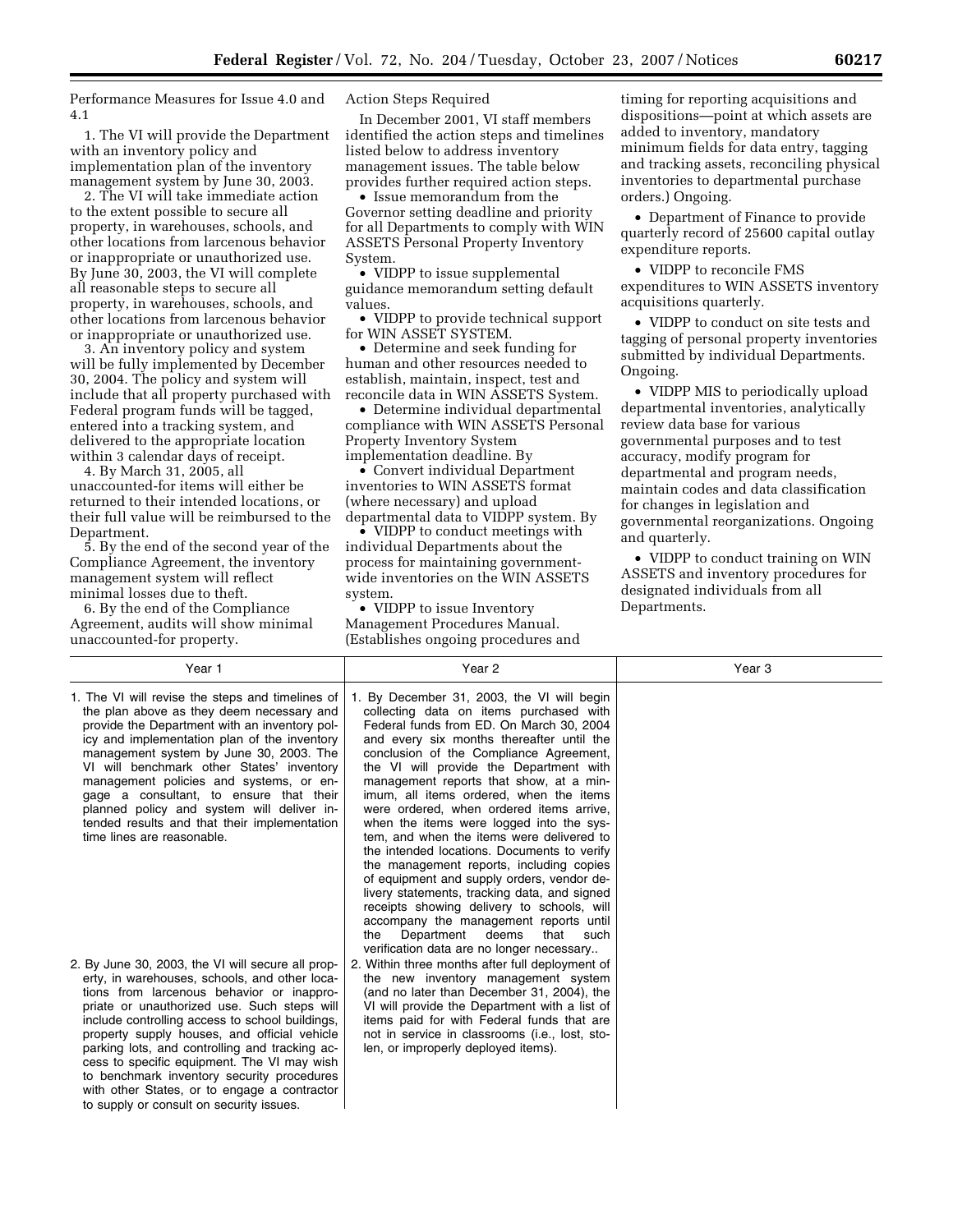Performance Measures for Issue 4.0 and 4.1

1. The VI will provide the Department with an inventory policy and implementation plan of the inventory management system by June 30, 2003.

2. The VI will take immediate action to the extent possible to secure all property, in warehouses, schools, and other locations from larcenous behavior or inappropriate or unauthorized use. By June 30, 2003, the VI will complete all reasonable steps to secure all property, in warehouses, schools, and other locations from larcenous behavior or inappropriate or unauthorized use.

3. An inventory policy and system will be fully implemented by December 30, 2004. The policy and system will include that all property purchased with Federal program funds will be tagged, entered into a tracking system, and delivered to the appropriate location within 3 calendar days of receipt.

4. By March 31, 2005, all unaccounted-for items will either be returned to their intended locations, or their full value will be reimbursed to the Department.

5. By the end of the second year of the Compliance Agreement, the inventory management system will reflect minimal losses due to theft.

6. By the end of the Compliance Agreement, audits will show minimal unaccounted-for property.

Action Steps Required

In December 2001, VI staff members identified the action steps and timelines listed below to address inventory management issues. The table below provides further required action steps.

• Issue memorandum from the Governor setting deadline and priority for all Departments to comply with WIN ASSETS Personal Property Inventory System.

• VIDPP to issue supplemental guidance memorandum setting default values.

• VIDPP to provide technical support for WIN ASSET SYSTEM.

• Determine and seek funding for human and other resources needed to establish, maintain, inspect, test and reconcile data in WIN ASSETS System.

• Determine individual departmental compliance with WIN ASSETS Personal Property Inventory System implementation deadline. By

• Convert individual Department inventories to WIN ASSETS format (where necessary) and upload departmental data to VIDPP system. By

• VIDPP to conduct meetings with individual Departments about the process for maintaining governmentwide inventories on the WIN ASSETS system.

• VIDPP to issue Inventory Management Procedures Manual. (Establishes ongoing procedures and

timing for reporting acquisitions and dispositions—point at which assets are added to inventory, mandatory minimum fields for data entry, tagging and tracking assets, reconciling physical inventories to departmental purchase orders.) Ongoing.

• Department of Finance to provide quarterly record of 25600 capital outlay expenditure reports.

• VIDPP to reconcile FMS expenditures to WIN ASSETS inventory acquisitions quarterly.

• VIDPP to conduct on site tests and tagging of personal property inventories submitted by individual Departments. Ongoing.

• VIDPP MIS to periodically upload departmental inventories, analytically review data base for various governmental purposes and to test accuracy, modify program for departmental and program needs, maintain codes and data classification for changes in legislation and governmental reorganizations. Ongoing and quarterly.

• VIDPP to conduct training on WIN ASSETS and inventory procedures for designated individuals from all Departments.

| Year 1                                                                                                                                                                                                                                                                                                                                                                                                                                                                                                                                                        | Year 2                                                                                                                                                                                                                                                                                                                                                                                                                                                                                                                                                                                                                                                                                                                                                                                                                                                                                                                      | Year <sub>3</sub> |
|---------------------------------------------------------------------------------------------------------------------------------------------------------------------------------------------------------------------------------------------------------------------------------------------------------------------------------------------------------------------------------------------------------------------------------------------------------------------------------------------------------------------------------------------------------------|-----------------------------------------------------------------------------------------------------------------------------------------------------------------------------------------------------------------------------------------------------------------------------------------------------------------------------------------------------------------------------------------------------------------------------------------------------------------------------------------------------------------------------------------------------------------------------------------------------------------------------------------------------------------------------------------------------------------------------------------------------------------------------------------------------------------------------------------------------------------------------------------------------------------------------|-------------------|
| 1. The VI will revise the steps and timelines of<br>the plan above as they deem necessary and<br>provide the Department with an inventory pol-<br>icy and implementation plan of the inventory<br>management system by June 30, 2003. The<br>VI will benchmark other States' inventory<br>management policies and systems, or en-<br>gage a consultant, to ensure that their<br>planned policy and system will deliver in-<br>tended results and that their implementation<br>time lines are reasonable.<br>2. By June 30, 2003, the VI will secure all prop- | 1. By December 31, 2003, the VI will begin<br>collecting data on items purchased with<br>Federal funds from ED. On March 30, 2004<br>and every six months thereafter until the<br>conclusion of the Compliance Agreement,<br>the VI will provide the Department with<br>management reports that show, at a min-<br>imum, all items ordered, when the items<br>were ordered, when ordered items arrive,<br>when the items were logged into the sys-<br>tem, and when the items were delivered to<br>the intended locations. Documents to verify<br>the management reports, including copies<br>of equipment and supply orders, vendor de-<br>livery statements, tracking data, and signed<br>receipts showing delivery to schools, will<br>accompany the management reports until<br>Department deems<br>that<br>such<br>the<br>verification data are no longer necessary<br>2. Within three months after full deployment of |                   |
| erty, in warehouses, schools, and other loca-<br>tions from larcenous behavior or inappro-<br>priate or unauthorized use. Such steps will<br>include controlling access to school buildings,<br>property supply houses, and official vehicle<br>parking lots, and controlling and tracking ac-<br>cess to specific equipment. The VI may wish<br>to benchmark inventory security procedures<br>with other States, or to engage a contractor<br>to supply or consult on security issues.                                                                       | the new inventory management system<br>(and no later than December 31, 2004), the<br>VI will provide the Department with a list of<br>items paid for with Federal funds that are<br>not in service in classrooms (i.e., lost, sto-<br>len, or improperly deployed items).                                                                                                                                                                                                                                                                                                                                                                                                                                                                                                                                                                                                                                                   |                   |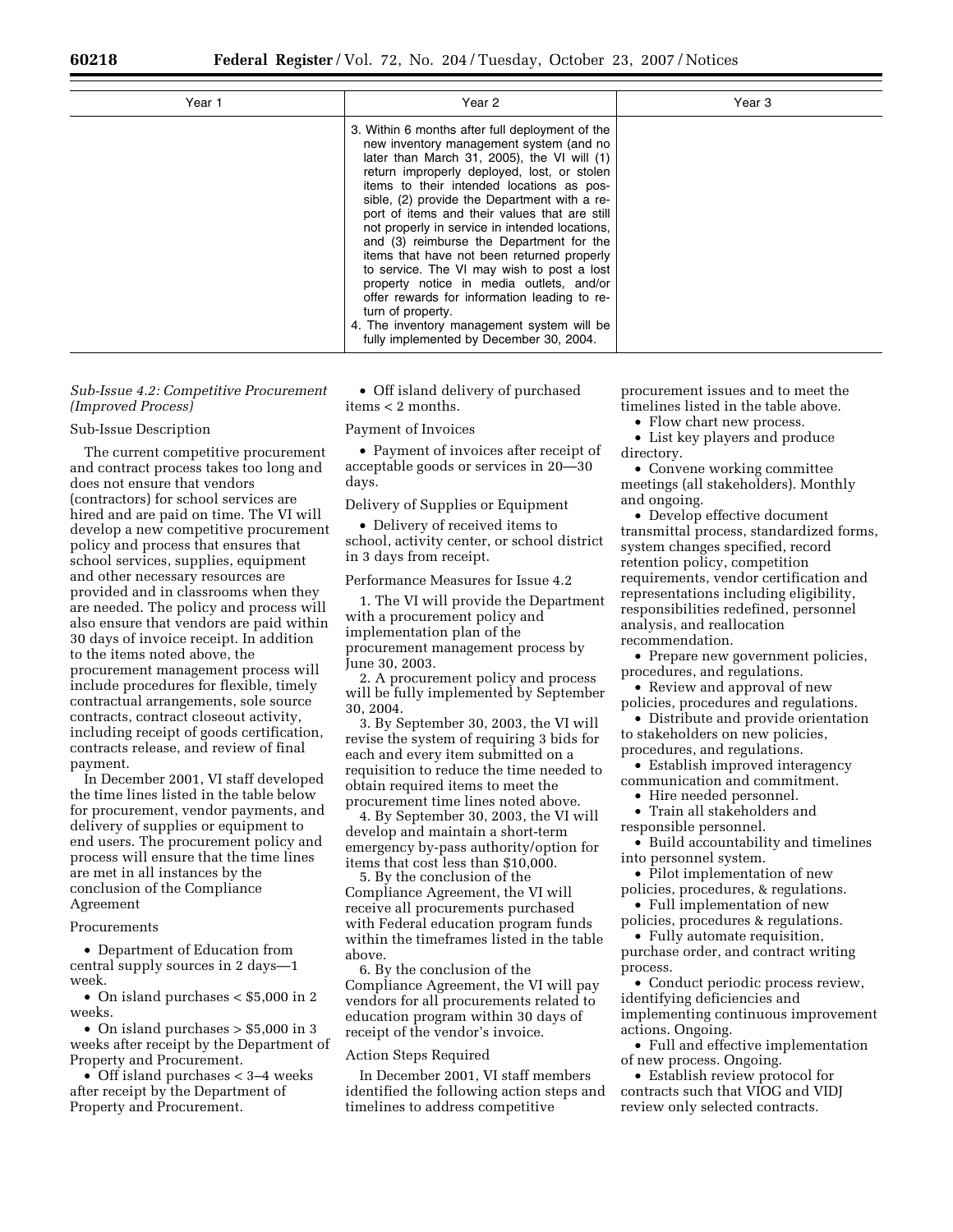| Year 1 | Year 2                                                                                                                                                                                                                                                                                                                                                                                                                                                                                                                                                                                                                                                                                                                                     | Year 3 |
|--------|--------------------------------------------------------------------------------------------------------------------------------------------------------------------------------------------------------------------------------------------------------------------------------------------------------------------------------------------------------------------------------------------------------------------------------------------------------------------------------------------------------------------------------------------------------------------------------------------------------------------------------------------------------------------------------------------------------------------------------------------|--------|
|        | 3. Within 6 months after full deployment of the<br>new inventory management system (and no<br>later than March 31, 2005), the VI will (1)<br>return improperly deployed, lost, or stolen<br>items to their intended locations as pos-<br>sible, (2) provide the Department with a re-<br>port of items and their values that are still<br>not properly in service in intended locations,<br>and (3) reimburse the Department for the<br>items that have not been returned properly<br>to service. The VI may wish to post a lost<br>property notice in media outlets, and/or<br>offer rewards for information leading to re-<br>turn of property.<br>4. The inventory management system will be<br>fully implemented by December 30, 2004. |        |

#### *Sub-Issue 4.2: Competitive Procurement (Improved Process)*

#### Sub-Issue Description

The current competitive procurement and contract process takes too long and does not ensure that vendors (contractors) for school services are hired and are paid on time. The VI will develop a new competitive procurement policy and process that ensures that school services, supplies, equipment and other necessary resources are provided and in classrooms when they are needed. The policy and process will also ensure that vendors are paid within 30 days of invoice receipt. In addition to the items noted above, the procurement management process will include procedures for flexible, timely contractual arrangements, sole source contracts, contract closeout activity, including receipt of goods certification, contracts release, and review of final payment.

In December 2001, VI staff developed the time lines listed in the table below for procurement, vendor payments, and delivery of supplies or equipment to end users. The procurement policy and process will ensure that the time lines are met in all instances by the conclusion of the Compliance Agreement

#### Procurements

• Department of Education from central supply sources in 2 days—1 week.

• On island purchases < \$5,000 in 2 weeks.

• On island purchases > \$5,000 in 3 weeks after receipt by the Department of Property and Procurement.

• Off island purchases < 3–4 weeks after receipt by the Department of Property and Procurement.

• Off island delivery of purchased items < 2 months.

#### Payment of Invoices

• Payment of invoices after receipt of acceptable goods or services in 20—30 days.

Delivery of Supplies or Equipment

• Delivery of received items to school, activity center, or school district in 3 days from receipt.

# Performance Measures for Issue 4.2

1. The VI will provide the Department with a procurement policy and implementation plan of the procurement management process by June 30, 2003.

2. A procurement policy and process will be fully implemented by September 30, 2004.

3. By September 30, 2003, the VI will revise the system of requiring 3 bids for each and every item submitted on a requisition to reduce the time needed to obtain required items to meet the procurement time lines noted above.

4. By September 30, 2003, the VI will develop and maintain a short-term emergency by-pass authority/option for items that cost less than \$10,000.

5. By the conclusion of the Compliance Agreement, the VI will receive all procurements purchased with Federal education program funds within the timeframes listed in the table above.

6. By the conclusion of the Compliance Agreement, the VI will pay vendors for all procurements related to education program within 30 days of receipt of the vendor's invoice.

# Action Steps Required

In December 2001, VI staff members identified the following action steps and timelines to address competitive

procurement issues and to meet the timelines listed in the table above.

- Flow chart new process.
- List key players and produce directory.

• Convene working committee meetings (all stakeholders). Monthly and ongoing.

• Develop effective document transmittal process, standardized forms, system changes specified, record retention policy, competition requirements, vendor certification and representations including eligibility, responsibilities redefined, personnel analysis, and reallocation recommendation.

• Prepare new government policies, procedures, and regulations.

• Review and approval of new policies, procedures and regulations.

• Distribute and provide orientation to stakeholders on new policies,

procedures, and regulations.

• Establish improved interagency communication and commitment.

• Hire needed personnel.

• Train all stakeholders and responsible personnel.

• Build accountability and timelines into personnel system.

• Pilot implementation of new policies, procedures, & regulations.

• Full implementation of new policies, procedures & regulations.

• Fully automate requisition,

purchase order, and contract writing process.

• Conduct periodic process review, identifying deficiencies and implementing continuous improvement actions. Ongoing.

• Full and effective implementation of new process. Ongoing.

• Establish review protocol for contracts such that VIOG and VIDJ review only selected contracts.